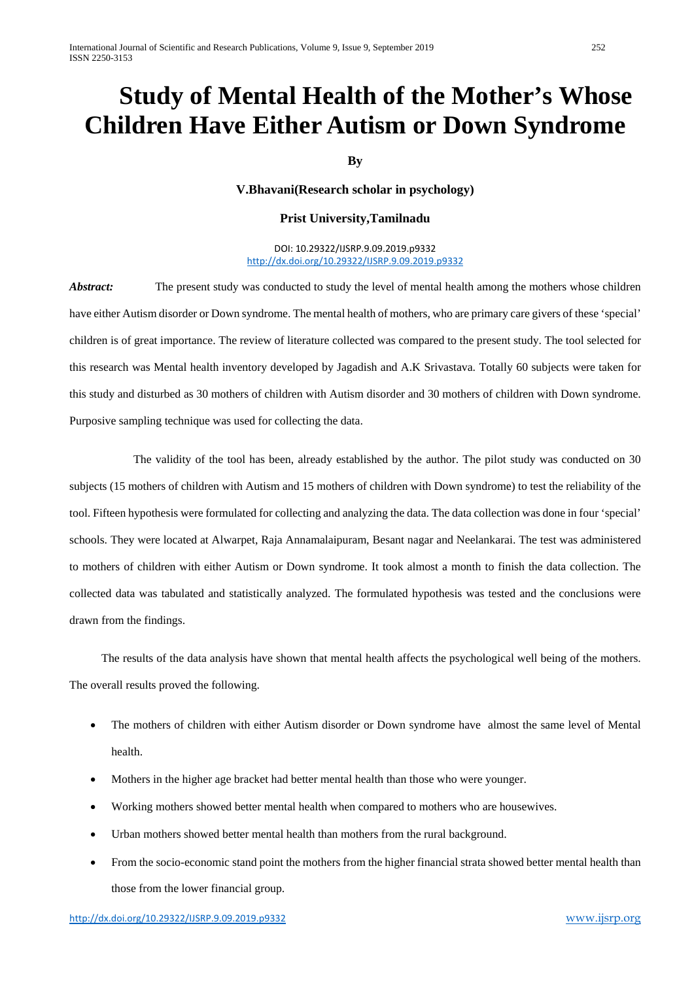# **Study of Mental Health of the Mother's Whose Children Have Either Autism or Down Syndrome**

## **By**

#### **V.Bhavani(Research scholar in psychology)**

#### **Prist University,Tamilnadu**

DOI: 10.29322/IJSRP.9.09.2019.p9332 <http://dx.doi.org/10.29322/IJSRP.9.09.2019.p9332>

Abstract: The present study was conducted to study the level of mental health among the mothers whose children have either Autism disorder or Down syndrome. The mental health of mothers, who are primary care givers of these 'special' children is of great importance. The review of literature collected was compared to the present study. The tool selected for this research was Mental health inventory developed by Jagadish and A.K Srivastava. Totally 60 subjects were taken for this study and disturbed as 30 mothers of children with Autism disorder and 30 mothers of children with Down syndrome. Purposive sampling technique was used for collecting the data.

 The validity of the tool has been, already established by the author. The pilot study was conducted on 30 subjects (15 mothers of children with Autism and 15 mothers of children with Down syndrome) to test the reliability of the tool. Fifteen hypothesis were formulated for collecting and analyzing the data. The data collection was done in four 'special' schools. They were located at Alwarpet, Raja Annamalaipuram, Besant nagar and Neelankarai. The test was administered to mothers of children with either Autism or Down syndrome. It took almost a month to finish the data collection. The collected data was tabulated and statistically analyzed. The formulated hypothesis was tested and the conclusions were drawn from the findings.

 The results of the data analysis have shown that mental health affects the psychological well being of the mothers. The overall results proved the following.

- The mothers of children with either Autism disorder or Down syndrome have almost the same level of Mental health.
- Mothers in the higher age bracket had better mental health than those who were younger.
- Working mothers showed better mental health when compared to mothers who are housewives.
- Urban mothers showed better mental health than mothers from the rural background.
- From the socio-economic stand point the mothers from the higher financial strata showed better mental health than those from the lower financial group.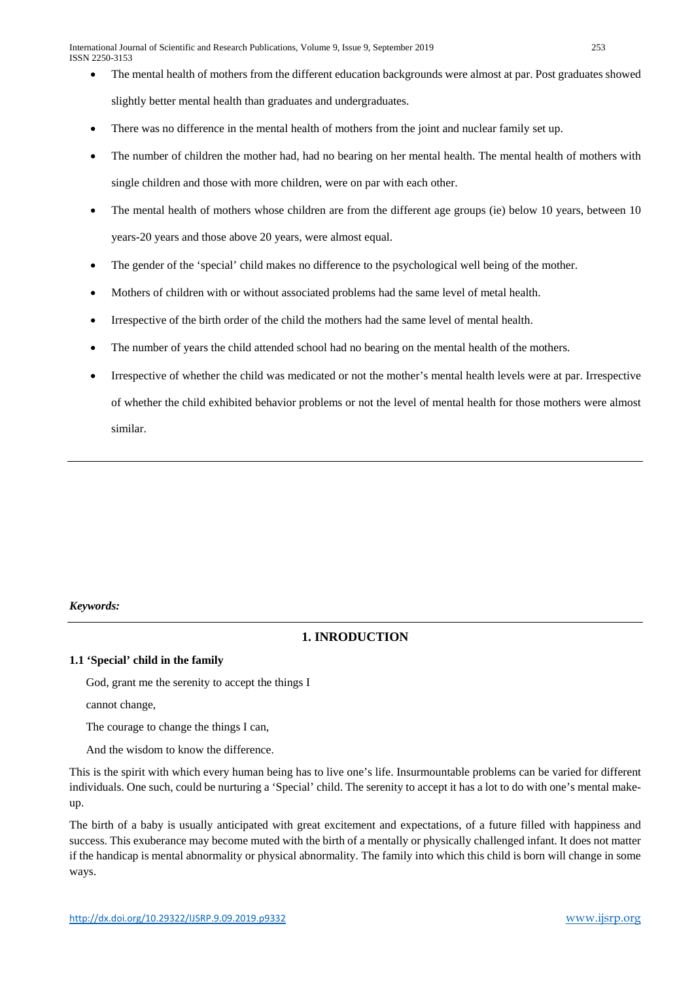- The mental health of mothers from the different education backgrounds were almost at par. Post graduates showed slightly better mental health than graduates and undergraduates.
- There was no difference in the mental health of mothers from the joint and nuclear family set up.
- The number of children the mother had, had no bearing on her mental health. The mental health of mothers with single children and those with more children, were on par with each other.
- The mental health of mothers whose children are from the different age groups (ie) below 10 years, between 10 years-20 years and those above 20 years, were almost equal.
- The gender of the 'special' child makes no difference to the psychological well being of the mother.
- Mothers of children with or without associated problems had the same level of metal health.
- Irrespective of the birth order of the child the mothers had the same level of mental health.
- The number of years the child attended school had no bearing on the mental health of the mothers.
- Irrespective of whether the child was medicated or not the mother's mental health levels were at par. Irrespective of whether the child exhibited behavior problems or not the level of mental health for those mothers were almost similar.

## *Keywords:*

## **1. INRODUCTION**

#### **1.1 'Special' child in the family**

God, grant me the serenity to accept the things I

cannot change,

The courage to change the things I can,

And the wisdom to know the difference.

This is the spirit with which every human being has to live one's life. Insurmountable problems can be varied for different individuals. One such, could be nurturing a 'Special' child. The serenity to accept it has a lot to do with one's mental makeup.

The birth of a baby is usually anticipated with great excitement and expectations, of a future filled with happiness and success. This exuberance may become muted with the birth of a mentally or physically challenged infant. It does not matter if the handicap is mental abnormality or physical abnormality. The family into which this child is born will change in some ways.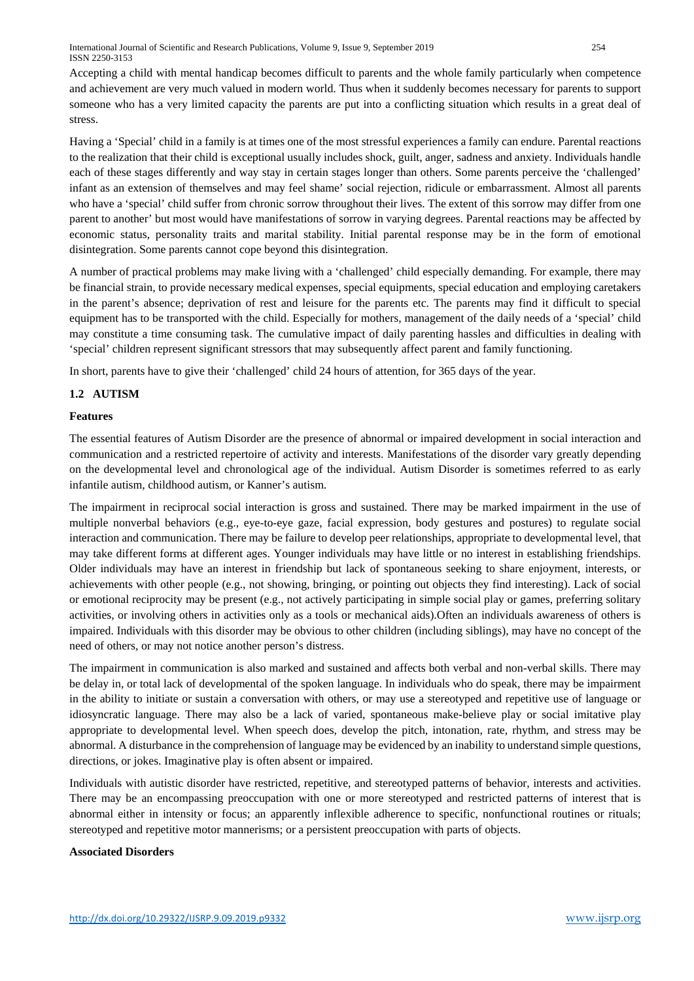Accepting a child with mental handicap becomes difficult to parents and the whole family particularly when competence and achievement are very much valued in modern world. Thus when it suddenly becomes necessary for parents to support someone who has a very limited capacity the parents are put into a conflicting situation which results in a great deal of stress.

Having a 'Special' child in a family is at times one of the most stressful experiences a family can endure. Parental reactions to the realization that their child is exceptional usually includes shock, guilt, anger, sadness and anxiety. Individuals handle each of these stages differently and way stay in certain stages longer than others. Some parents perceive the 'challenged' infant as an extension of themselves and may feel shame' social rejection, ridicule or embarrassment. Almost all parents who have a 'special' child suffer from chronic sorrow throughout their lives. The extent of this sorrow may differ from one parent to another' but most would have manifestations of sorrow in varying degrees. Parental reactions may be affected by economic status, personality traits and marital stability. Initial parental response may be in the form of emotional disintegration. Some parents cannot cope beyond this disintegration.

A number of practical problems may make living with a 'challenged' child especially demanding. For example, there may be financial strain, to provide necessary medical expenses, special equipments, special education and employing caretakers in the parent's absence; deprivation of rest and leisure for the parents etc. The parents may find it difficult to special equipment has to be transported with the child. Especially for mothers, management of the daily needs of a 'special' child may constitute a time consuming task. The cumulative impact of daily parenting hassles and difficulties in dealing with 'special' children represent significant stressors that may subsequently affect parent and family functioning.

In short, parents have to give their 'challenged' child 24 hours of attention, for 365 days of the year.

## **1.2 AUTISM**

#### **Features**

The essential features of Autism Disorder are the presence of abnormal or impaired development in social interaction and communication and a restricted repertoire of activity and interests. Manifestations of the disorder vary greatly depending on the developmental level and chronological age of the individual. Autism Disorder is sometimes referred to as early infantile autism, childhood autism, or Kanner's autism.

The impairment in reciprocal social interaction is gross and sustained. There may be marked impairment in the use of multiple nonverbal behaviors (e.g., eye-to-eye gaze, facial expression, body gestures and postures) to regulate social interaction and communication. There may be failure to develop peer relationships, appropriate to developmental level, that may take different forms at different ages. Younger individuals may have little or no interest in establishing friendships. Older individuals may have an interest in friendship but lack of spontaneous seeking to share enjoyment, interests, or achievements with other people (e.g., not showing, bringing, or pointing out objects they find interesting). Lack of social or emotional reciprocity may be present (e.g., not actively participating in simple social play or games, preferring solitary activities, or involving others in activities only as a tools or mechanical aids).Often an individuals awareness of others is impaired. Individuals with this disorder may be obvious to other children (including siblings), may have no concept of the need of others, or may not notice another person's distress.

The impairment in communication is also marked and sustained and affects both verbal and non-verbal skills. There may be delay in, or total lack of developmental of the spoken language. In individuals who do speak, there may be impairment in the ability to initiate or sustain a conversation with others, or may use a stereotyped and repetitive use of language or idiosyncratic language. There may also be a lack of varied, spontaneous make-believe play or social imitative play appropriate to developmental level. When speech does, develop the pitch, intonation, rate, rhythm, and stress may be abnormal. A disturbance in the comprehension of language may be evidenced by an inability to understand simple questions, directions, or jokes. Imaginative play is often absent or impaired.

Individuals with autistic disorder have restricted, repetitive, and stereotyped patterns of behavior, interests and activities. There may be an encompassing preoccupation with one or more stereotyped and restricted patterns of interest that is abnormal either in intensity or focus; an apparently inflexible adherence to specific, nonfunctional routines or rituals; stereotyped and repetitive motor mannerisms; or a persistent preoccupation with parts of objects.

#### **Associated Disorders**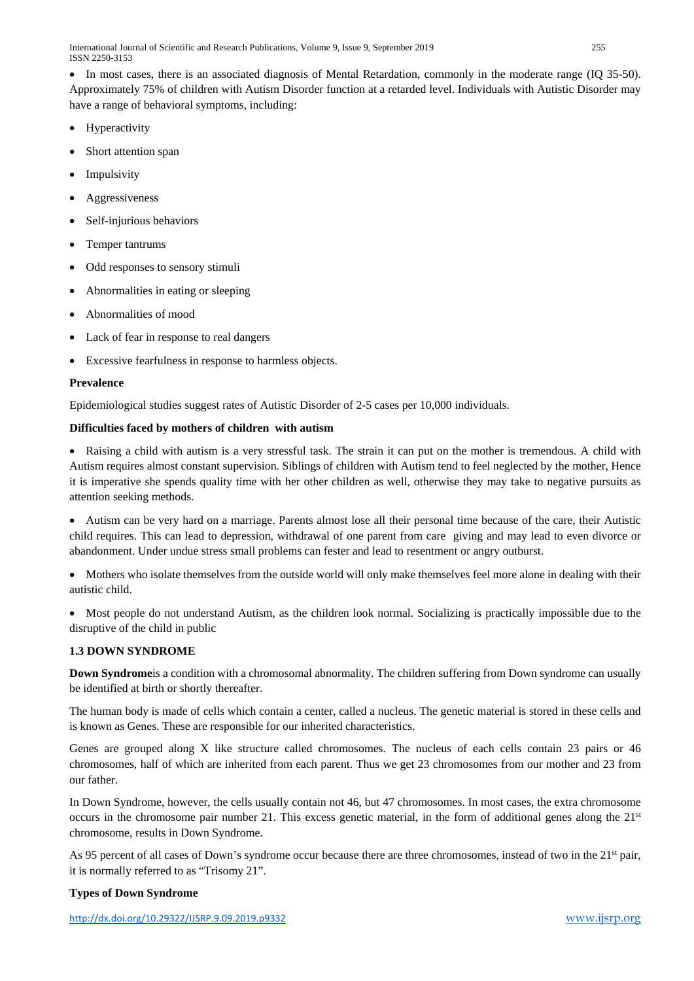International Journal of Scientific and Research Publications, Volume 9, Issue 9, September 2019 255 ISSN 2250-3153

• In most cases, there is an associated diagnosis of Mental Retardation, commonly in the moderate range (IQ 35-50). Approximately 75% of children with Autism Disorder function at a retarded level. Individuals with Autistic Disorder may have a range of behavioral symptoms, including:

- **Hyperactivity**
- Short attention span
- Impulsivity
- **Aggressiveness**
- Self-injurious behaviors
- Temper tantrums
- Odd responses to sensory stimuli
- Abnormalities in eating or sleeping
- Abnormalities of mood
- Lack of fear in response to real dangers
- Excessive fearfulness in response to harmless objects.

#### **Prevalence**

Epidemiological studies suggest rates of Autistic Disorder of 2-5 cases per 10,000 individuals.

#### **Difficulties faced by mothers of children with autism**

• Raising a child with autism is a very stressful task. The strain it can put on the mother is tremendous. A child with Autism requires almost constant supervision. Siblings of children with Autism tend to feel neglected by the mother, Hence it is imperative she spends quality time with her other children as well, otherwise they may take to negative pursuits as attention seeking methods.

• Autism can be very hard on a marriage. Parents almost lose all their personal time because of the care, their Autistic child requires. This can lead to depression, withdrawal of one parent from care giving and may lead to even divorce or abandonment. Under undue stress small problems can fester and lead to resentment or angry outburst.

• Mothers who isolate themselves from the outside world will only make themselves feel more alone in dealing with their autistic child.

• Most people do not understand Autism, as the children look normal. Socializing is practically impossible due to the disruptive of the child in public

#### **1.3 DOWN SYNDROME**

**Down Syndrome** is a condition with a chromosomal abnormality. The children suffering from Down syndrome can usually be identified at birth or shortly thereafter.

The human body is made of cells which contain a center, called a nucleus. The genetic material is stored in these cells and is known as Genes. These are responsible for our inherited characteristics.

Genes are grouped along X like structure called chromosomes. The nucleus of each cells contain 23 pairs or 46 chromosomes, half of which are inherited from each parent. Thus we get 23 chromosomes from our mother and 23 from our father.

In Down Syndrome, however, the cells usually contain not 46, but 47 chromosomes. In most cases, the extra chromosome occurs in the chromosome pair number 21. This excess genetic material, in the form of additional genes along the  $21<sup>st</sup>$ chromosome, results in Down Syndrome.

As 95 percent of all cases of Down's syndrome occur because there are three chromosomes, instead of two in the 21<sup>st</sup> pair, it is normally referred to as "Trisomy 21".

#### **Types of Down Syndrome**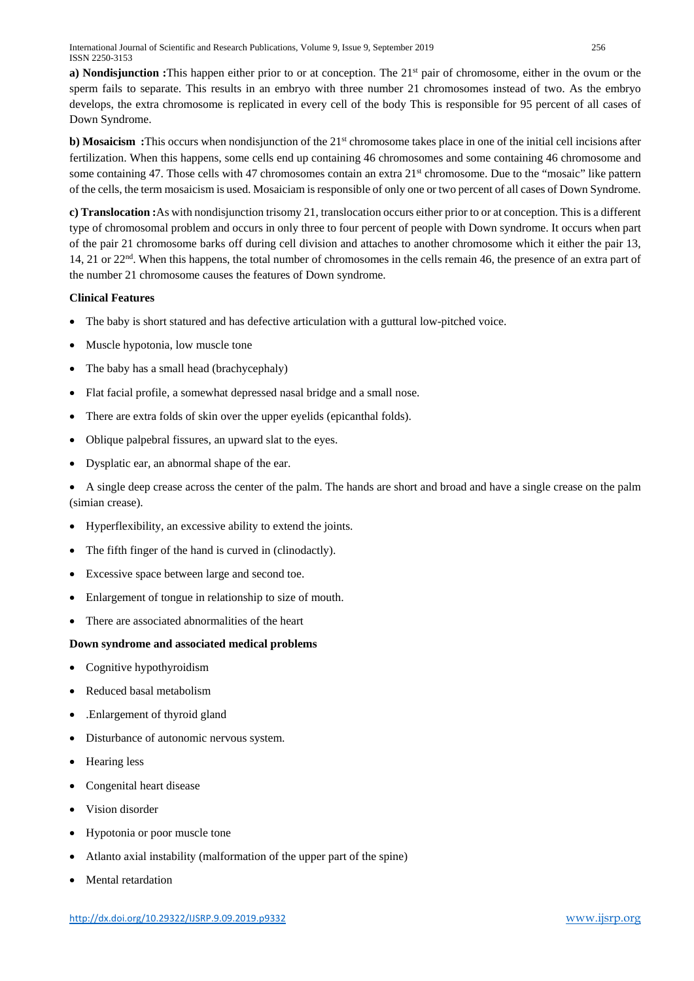**a) Nondisjunction :**This happen either prior to or at conception. The 21<sup>st</sup> pair of chromosome, either in the ovum or the sperm fails to separate. This results in an embryo with three number 21 chromosomes instead of two. As the embryo develops, the extra chromosome is replicated in every cell of the body This is responsible for 95 percent of all cases of Down Syndrome.

**b) Mosaicism :**This occurs when nondisjunction of the 21<sup>st</sup> chromosome takes place in one of the initial cell incisions after fertilization. When this happens, some cells end up containing 46 chromosomes and some containing 46 chromosome and some containing 47. Those cells with 47 chromosomes contain an extra 21<sup>st</sup> chromosome. Due to the "mosaic" like pattern of the cells, the term mosaicism is used. Mosaiciam is responsible of only one or two percent of all cases of Down Syndrome.

**c) Translocation :**As with nondisjunction trisomy 21, translocation occurs either prior to or at conception. This is a different type of chromosomal problem and occurs in only three to four percent of people with Down syndrome. It occurs when part of the pair 21 chromosome barks off during cell division and attaches to another chromosome which it either the pair 13, 14, 21 or  $22<sup>nd</sup>$ . When this happens, the total number of chromosomes in the cells remain 46, the presence of an extra part of the number 21 chromosome causes the features of Down syndrome.

## **Clinical Features**

- The baby is short statured and has defective articulation with a guttural low-pitched voice.
- Muscle hypotonia, low muscle tone
- The baby has a small head (brachycephaly)
- Flat facial profile, a somewhat depressed nasal bridge and a small nose.
- There are extra folds of skin over the upper eyelids (epicanthal folds).
- Oblique palpebral fissures, an upward slat to the eyes.
- Dysplatic ear, an abnormal shape of the ear.

• A single deep crease across the center of the palm. The hands are short and broad and have a single crease on the palm (simian crease).

- Hyperflexibility, an excessive ability to extend the joints.
- The fifth finger of the hand is curved in (clinodactly).
- Excessive space between large and second toe.
- Enlargement of tongue in relationship to size of mouth.
- There are associated abnormalities of the heart

#### **Down syndrome and associated medical problems**

- Cognitive hypothyroidism
- Reduced basal metabolism
- .Enlargement of thyroid gland
- Disturbance of autonomic nervous system.
- Hearing less
- Congenital heart disease
- Vision disorder
- Hypotonia or poor muscle tone
- Atlanto axial instability (malformation of the upper part of the spine)
- Mental retardation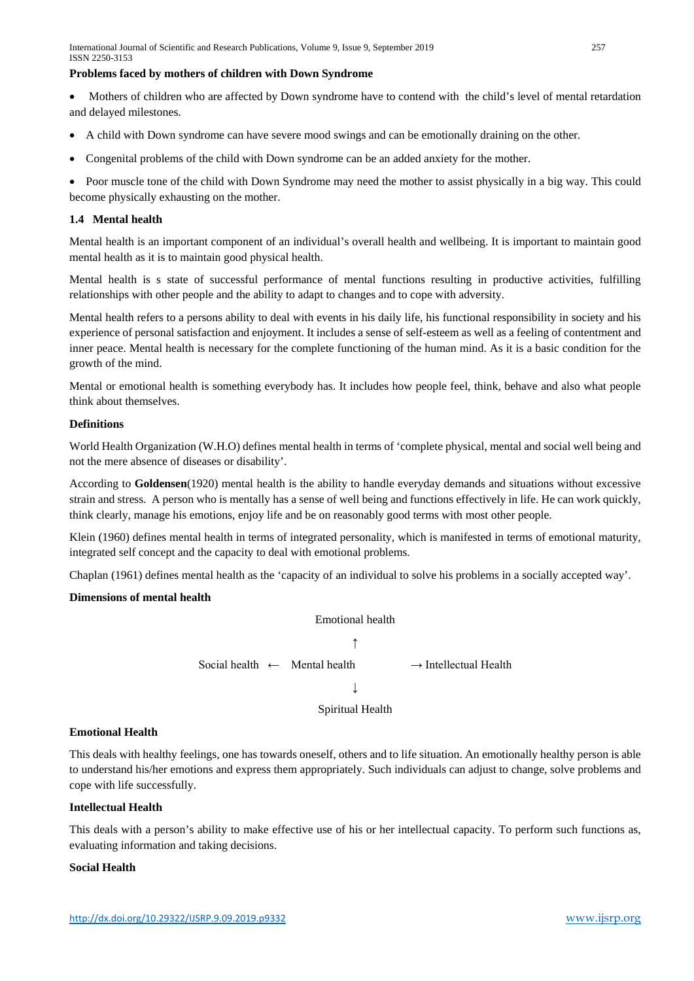#### **Problems faced by mothers of children with Down Syndrome**

• Mothers of children who are affected by Down syndrome have to contend with the child's level of mental retardation and delayed milestones.

- A child with Down syndrome can have severe mood swings and can be emotionally draining on the other.
- Congenital problems of the child with Down syndrome can be an added anxiety for the mother.

• Poor muscle tone of the child with Down Syndrome may need the mother to assist physically in a big way. This could become physically exhausting on the mother.

#### **1.4 Mental health**

Mental health is an important component of an individual's overall health and wellbeing. It is important to maintain good mental health as it is to maintain good physical health.

Mental health is s state of successful performance of mental functions resulting in productive activities, fulfilling relationships with other people and the ability to adapt to changes and to cope with adversity.

Mental health refers to a persons ability to deal with events in his daily life, his functional responsibility in society and his experience of personal satisfaction and enjoyment. It includes a sense of self-esteem as well as a feeling of contentment and inner peace. Mental health is necessary for the complete functioning of the human mind. As it is a basic condition for the growth of the mind.

Mental or emotional health is something everybody has. It includes how people feel, think, behave and also what people think about themselves.

#### **Definitions**

World Health Organization (W.H.O) defines mental health in terms of 'complete physical, mental and social well being and not the mere absence of diseases or disability'.

According to **Goldensen**(1920) mental health is the ability to handle everyday demands and situations without excessive strain and stress. A person who is mentally has a sense of well being and functions effectively in life. He can work quickly, think clearly, manage his emotions, enjoy life and be on reasonably good terms with most other people.

Klein (1960) defines mental health in terms of integrated personality, which is manifested in terms of emotional maturity, integrated self concept and the capacity to deal with emotional problems.

Chaplan (1961) defines mental health as the 'capacity of an individual to solve his problems in a socially accepted way'.

#### **Dimensions of mental health**



#### **Emotional Health**

This deals with healthy feelings, one has towards oneself, others and to life situation. An emotionally healthy person is able to understand his/her emotions and express them appropriately. Such individuals can adjust to change, solve problems and cope with life successfully.

#### **Intellectual Health**

This deals with a person's ability to make effective use of his or her intellectual capacity. To perform such functions as, evaluating information and taking decisions.

#### **Social Health**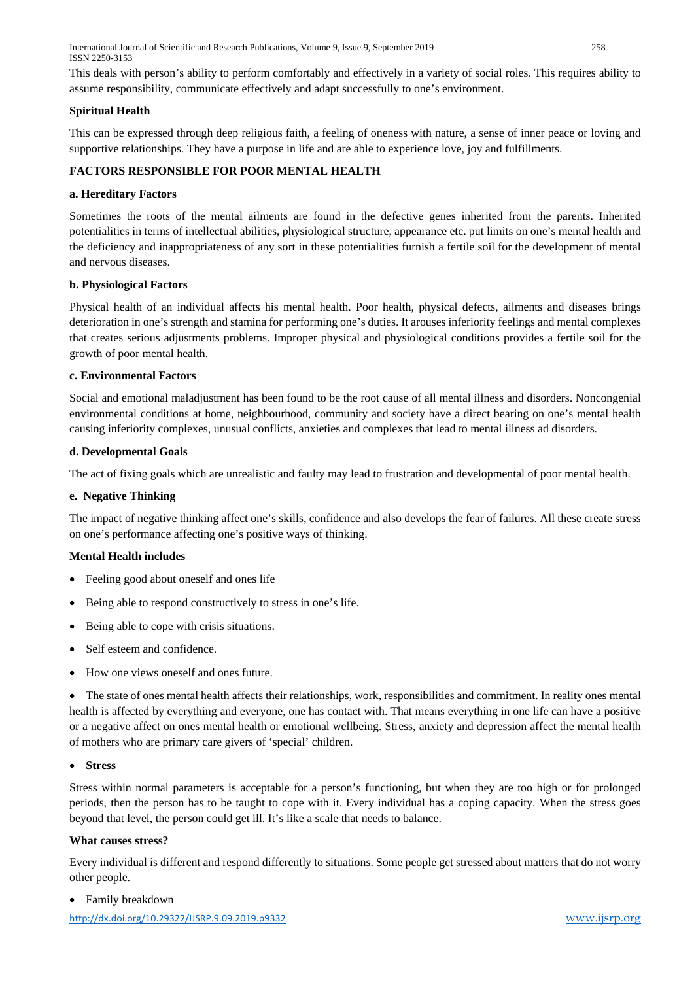International Journal of Scientific and Research Publications, Volume 9, Issue 9, September 2019 258 ISSN 2250-3153

This deals with person's ability to perform comfortably and effectively in a variety of social roles. This requires ability to assume responsibility, communicate effectively and adapt successfully to one's environment.

#### **Spiritual Health**

This can be expressed through deep religious faith, a feeling of oneness with nature, a sense of inner peace or loving and supportive relationships. They have a purpose in life and are able to experience love, joy and fulfillments.

## **FACTORS RESPONSIBLE FOR POOR MENTAL HEALTH**

## **a. Hereditary Factors**

Sometimes the roots of the mental ailments are found in the defective genes inherited from the parents. Inherited potentialities in terms of intellectual abilities, physiological structure, appearance etc. put limits on one's mental health and the deficiency and inappropriateness of any sort in these potentialities furnish a fertile soil for the development of mental and nervous diseases.

## **b. Physiological Factors**

Physical health of an individual affects his mental health. Poor health, physical defects, ailments and diseases brings deterioration in one's strength and stamina for performing one's duties. It arouses inferiority feelings and mental complexes that creates serious adjustments problems. Improper physical and physiological conditions provides a fertile soil for the growth of poor mental health.

## **c. Environmental Factors**

Social and emotional maladjustment has been found to be the root cause of all mental illness and disorders. Noncongenial environmental conditions at home, neighbourhood, community and society have a direct bearing on one's mental health causing inferiority complexes, unusual conflicts, anxieties and complexes that lead to mental illness ad disorders.

## **d. Developmental Goals**

The act of fixing goals which are unrealistic and faulty may lead to frustration and developmental of poor mental health.

#### **e. Negative Thinking**

The impact of negative thinking affect one's skills, confidence and also develops the fear of failures. All these create stress on one's performance affecting one's positive ways of thinking.

## **Mental Health includes**

- Feeling good about oneself and ones life
- Being able to respond constructively to stress in one's life.
- Being able to cope with crisis situations.
- Self esteem and confidence.
- How one views oneself and ones future.

• The state of ones mental health affects their relationships, work, responsibilities and commitment. In reality ones mental health is affected by everything and everyone, one has contact with. That means everything in one life can have a positive or a negative affect on ones mental health or emotional wellbeing. Stress, anxiety and depression affect the mental health of mothers who are primary care givers of 'special' children.

#### • **Stress**

Stress within normal parameters is acceptable for a person's functioning, but when they are too high or for prolonged periods, then the person has to be taught to cope with it. Every individual has a coping capacity. When the stress goes beyond that level, the person could get ill. It's like a scale that needs to balance.

#### **What causes stress?**

Every individual is different and respond differently to situations. Some people get stressed about matters that do not worry other people.

• Family breakdown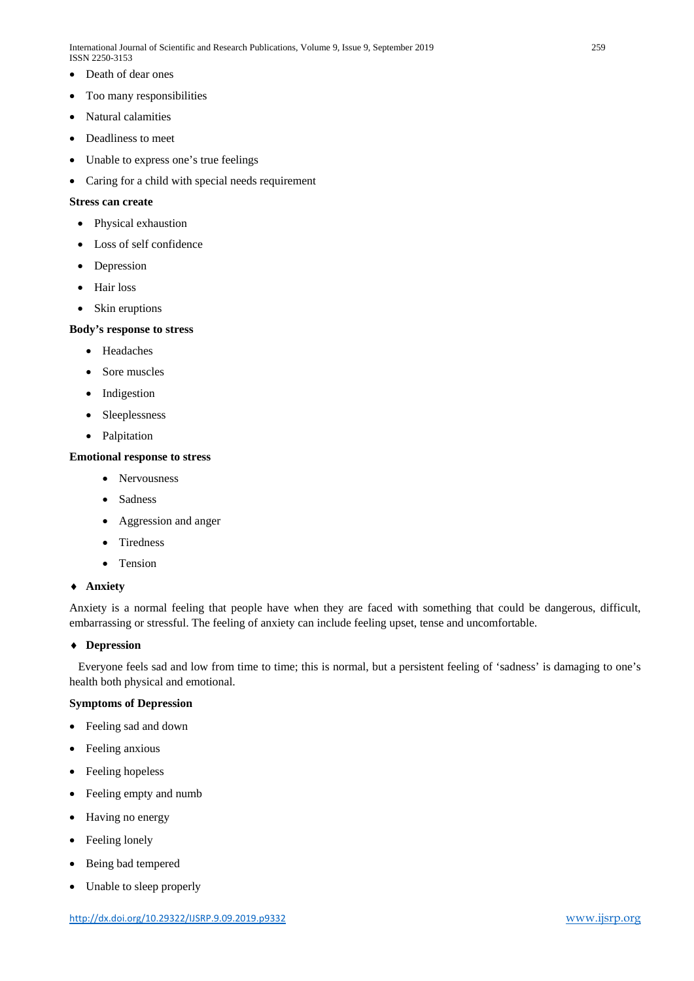- Death of dear ones
- Too many responsibilities
- Natural calamities
- Deadliness to meet
- Unable to express one's true feelings
- Caring for a child with special needs requirement

#### **Stress can create**

- Physical exhaustion
- Loss of self confidence
- Depression
- Hair loss
- Skin eruptions

#### **Body's response to stress**

- Headaches
- Sore muscles
- Indigestion
- Sleeplessness
- Palpitation

#### **Emotional response to stress**

- Nervousness
- Sadness
- Aggression and anger
- Tiredness
- Tension

#### ♦ **Anxiety**

Anxiety is a normal feeling that people have when they are faced with something that could be dangerous, difficult, embarrassing or stressful. The feeling of anxiety can include feeling upset, tense and uncomfortable.

#### ♦ **Depression**

 Everyone feels sad and low from time to time; this is normal, but a persistent feeling of 'sadness' is damaging to one's health both physical and emotional.

## **Symptoms of Depression**

- Feeling sad and down
- Feeling anxious
- Feeling hopeless
- Feeling empty and numb
- Having no energy
- Feeling lonely
- Being bad tempered
- Unable to sleep properly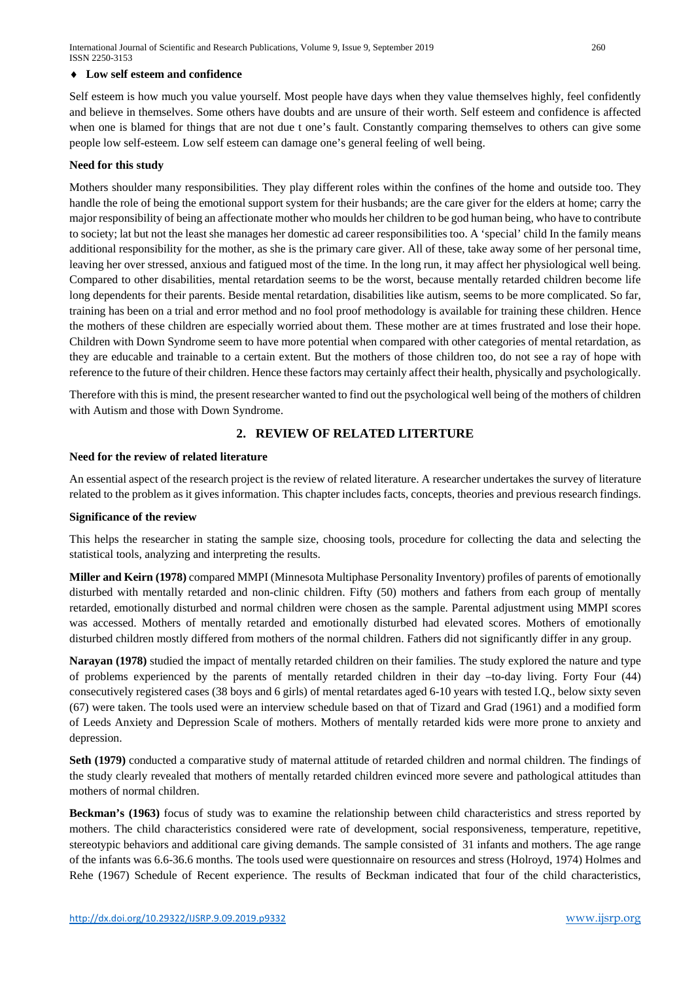#### ♦ **Low self esteem and confidence**

Self esteem is how much you value yourself. Most people have days when they value themselves highly, feel confidently and believe in themselves. Some others have doubts and are unsure of their worth. Self esteem and confidence is affected when one is blamed for things that are not due t one's fault. Constantly comparing themselves to others can give some people low self-esteem. Low self esteem can damage one's general feeling of well being.

#### **Need for this study**

Mothers shoulder many responsibilities. They play different roles within the confines of the home and outside too. They handle the role of being the emotional support system for their husbands; are the care giver for the elders at home; carry the major responsibility of being an affectionate mother who moulds her children to be god human being, who have to contribute to society; lat but not the least she manages her domestic ad career responsibilities too. A 'special' child In the family means additional responsibility for the mother, as she is the primary care giver. All of these, take away some of her personal time, leaving her over stressed, anxious and fatigued most of the time. In the long run, it may affect her physiological well being. Compared to other disabilities, mental retardation seems to be the worst, because mentally retarded children become life long dependents for their parents. Beside mental retardation, disabilities like autism, seems to be more complicated. So far, training has been on a trial and error method and no fool proof methodology is available for training these children. Hence the mothers of these children are especially worried about them. These mother are at times frustrated and lose their hope. Children with Down Syndrome seem to have more potential when compared with other categories of mental retardation, as they are educable and trainable to a certain extent. But the mothers of those children too, do not see a ray of hope with reference to the future of their children. Hence these factors may certainly affect their health, physically and psychologically.

Therefore with this is mind, the present researcher wanted to find out the psychological well being of the mothers of children with Autism and those with Down Syndrome.

## **2. REVIEW OF RELATED LITERTURE**

#### **Need for the review of related literature**

An essential aspect of the research project is the review of related literature. A researcher undertakes the survey of literature related to the problem as it gives information. This chapter includes facts, concepts, theories and previous research findings.

#### **Significance of the review**

This helps the researcher in stating the sample size, choosing tools, procedure for collecting the data and selecting the statistical tools, analyzing and interpreting the results.

**Miller and Keirn (1978)** compared MMPI (Minnesota Multiphase Personality Inventory) profiles of parents of emotionally disturbed with mentally retarded and non-clinic children. Fifty (50) mothers and fathers from each group of mentally retarded, emotionally disturbed and normal children were chosen as the sample. Parental adjustment using MMPI scores was accessed. Mothers of mentally retarded and emotionally disturbed had elevated scores. Mothers of emotionally disturbed children mostly differed from mothers of the normal children. Fathers did not significantly differ in any group.

**Narayan (1978)** studied the impact of mentally retarded children on their families. The study explored the nature and type of problems experienced by the parents of mentally retarded children in their day –to-day living. Forty Four (44) consecutively registered cases (38 boys and 6 girls) of mental retardates aged 6-10 years with tested I.Q., below sixty seven (67) were taken. The tools used were an interview schedule based on that of Tizard and Grad (1961) and a modified form of Leeds Anxiety and Depression Scale of mothers. Mothers of mentally retarded kids were more prone to anxiety and depression.

**Seth (1979)** conducted a comparative study of maternal attitude of retarded children and normal children. The findings of the study clearly revealed that mothers of mentally retarded children evinced more severe and pathological attitudes than mothers of normal children.

**Beckman's (1963)** focus of study was to examine the relationship between child characteristics and stress reported by mothers. The child characteristics considered were rate of development, social responsiveness, temperature, repetitive, stereotypic behaviors and additional care giving demands. The sample consisted of 31 infants and mothers. The age range of the infants was 6.6-36.6 months. The tools used were questionnaire on resources and stress (Holroyd, 1974) Holmes and Rehe (1967) Schedule of Recent experience. The results of Beckman indicated that four of the child characteristics,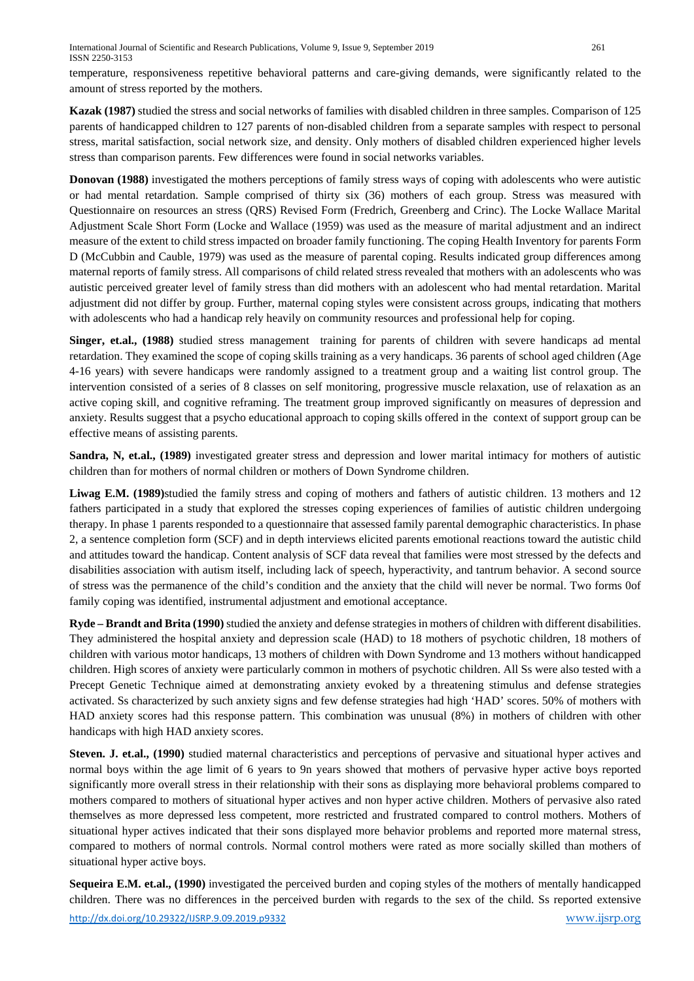temperature, responsiveness repetitive behavioral patterns and care-giving demands, were significantly related to the amount of stress reported by the mothers.

**Kazak (1987)** studied the stress and social networks of families with disabled children in three samples. Comparison of 125 parents of handicapped children to 127 parents of non-disabled children from a separate samples with respect to personal stress, marital satisfaction, social network size, and density. Only mothers of disabled children experienced higher levels stress than comparison parents. Few differences were found in social networks variables.

**Donovan (1988)** investigated the mothers perceptions of family stress ways of coping with adolescents who were autistic or had mental retardation. Sample comprised of thirty six (36) mothers of each group. Stress was measured with Questionnaire on resources an stress (QRS) Revised Form (Fredrich, Greenberg and Crinc). The Locke Wallace Marital Adjustment Scale Short Form (Locke and Wallace (1959) was used as the measure of marital adjustment and an indirect measure of the extent to child stress impacted on broader family functioning. The coping Health Inventory for parents Form D (McCubbin and Cauble, 1979) was used as the measure of parental coping. Results indicated group differences among maternal reports of family stress. All comparisons of child related stress revealed that mothers with an adolescents who was autistic perceived greater level of family stress than did mothers with an adolescent who had mental retardation. Marital adjustment did not differ by group. Further, maternal coping styles were consistent across groups, indicating that mothers with adolescents who had a handicap rely heavily on community resources and professional help for coping.

**Singer, et.al., (1988)** studied stress management training for parents of children with severe handicaps ad mental retardation. They examined the scope of coping skills training as a very handicaps. 36 parents of school aged children (Age 4-16 years) with severe handicaps were randomly assigned to a treatment group and a waiting list control group. The intervention consisted of a series of 8 classes on self monitoring, progressive muscle relaxation, use of relaxation as an active coping skill, and cognitive reframing. The treatment group improved significantly on measures of depression and anxiety. Results suggest that a psycho educational approach to coping skills offered in the context of support group can be effective means of assisting parents.

**Sandra, N, et.al., (1989)** investigated greater stress and depression and lower marital intimacy for mothers of autistic children than for mothers of normal children or mothers of Down Syndrome children.

**Liwag E.M. (1989)**studied the family stress and coping of mothers and fathers of autistic children. 13 mothers and 12 fathers participated in a study that explored the stresses coping experiences of families of autistic children undergoing therapy. In phase 1 parents responded to a questionnaire that assessed family parental demographic characteristics. In phase 2, a sentence completion form (SCF) and in depth interviews elicited parents emotional reactions toward the autistic child and attitudes toward the handicap. Content analysis of SCF data reveal that families were most stressed by the defects and disabilities association with autism itself, including lack of speech, hyperactivity, and tantrum behavior. A second source of stress was the permanence of the child's condition and the anxiety that the child will never be normal. Two forms 0of family coping was identified, instrumental adjustment and emotional acceptance.

**Ryde – Brandt and Brita (1990)** studied the anxiety and defense strategies in mothers of children with different disabilities. They administered the hospital anxiety and depression scale (HAD) to 18 mothers of psychotic children, 18 mothers of children with various motor handicaps, 13 mothers of children with Down Syndrome and 13 mothers without handicapped children. High scores of anxiety were particularly common in mothers of psychotic children. All Ss were also tested with a Precept Genetic Technique aimed at demonstrating anxiety evoked by a threatening stimulus and defense strategies activated. Ss characterized by such anxiety signs and few defense strategies had high 'HAD' scores. 50% of mothers with HAD anxiety scores had this response pattern. This combination was unusual (8%) in mothers of children with other handicaps with high HAD anxiety scores.

**Steven. J. et.al., (1990)** studied maternal characteristics and perceptions of pervasive and situational hyper actives and normal boys within the age limit of 6 years to 9n years showed that mothers of pervasive hyper active boys reported significantly more overall stress in their relationship with their sons as displaying more behavioral problems compared to mothers compared to mothers of situational hyper actives and non hyper active children. Mothers of pervasive also rated themselves as more depressed less competent, more restricted and frustrated compared to control mothers. Mothers of situational hyper actives indicated that their sons displayed more behavior problems and reported more maternal stress, compared to mothers of normal controls. Normal control mothers were rated as more socially skilled than mothers of situational hyper active boys.

**Sequeira E.M. et.al., (1990)** investigated the perceived burden and coping styles of the mothers of mentally handicapped children. There was no differences in the perceived burden with regards to the sex of the child. Ss reported extensive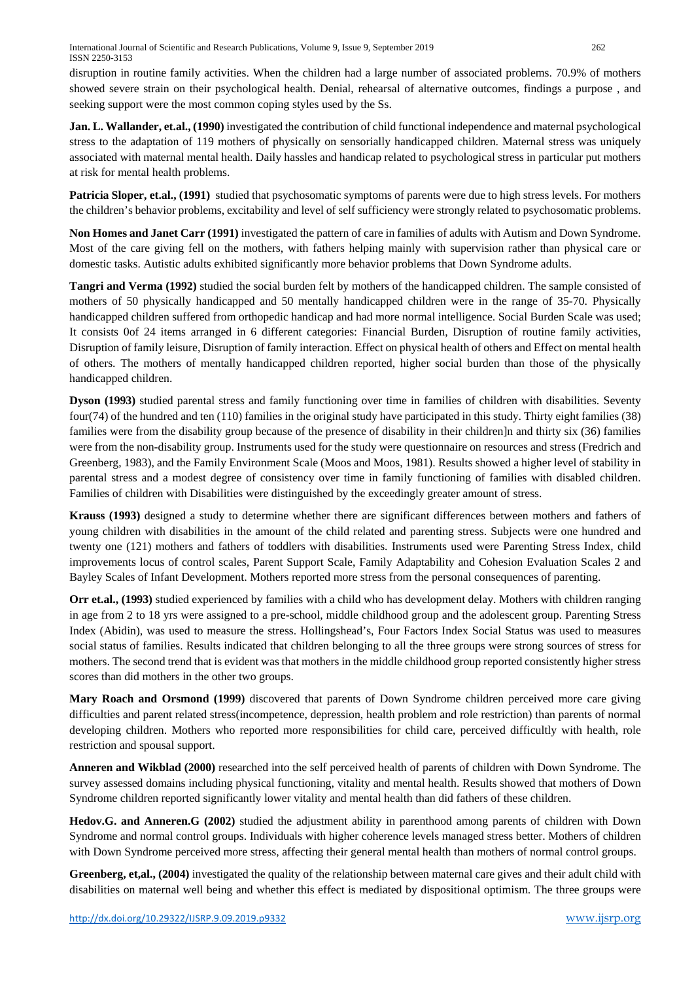disruption in routine family activities. When the children had a large number of associated problems. 70.9% of mothers showed severe strain on their psychological health. Denial, rehearsal of alternative outcomes, findings a purpose , and seeking support were the most common coping styles used by the Ss.

**Jan. L. Wallander, et.al., (1990)** investigated the contribution of child functional independence and maternal psychological stress to the adaptation of 119 mothers of physically on sensorially handicapped children. Maternal stress was uniquely associated with maternal mental health. Daily hassles and handicap related to psychological stress in particular put mothers at risk for mental health problems.

**Patricia Sloper, et.al., (1991)** studied that psychosomatic symptoms of parents were due to high stress levels. For mothers the children's behavior problems, excitability and level of self sufficiency were strongly related to psychosomatic problems.

**Non Homes and Janet Carr (1991)** investigated the pattern of care in families of adults with Autism and Down Syndrome. Most of the care giving fell on the mothers, with fathers helping mainly with supervision rather than physical care or domestic tasks. Autistic adults exhibited significantly more behavior problems that Down Syndrome adults.

**Tangri and Verma (1992)** studied the social burden felt by mothers of the handicapped children. The sample consisted of mothers of 50 physically handicapped and 50 mentally handicapped children were in the range of 35-70. Physically handicapped children suffered from orthopedic handicap and had more normal intelligence. Social Burden Scale was used; It consists 0of 24 items arranged in 6 different categories: Financial Burden, Disruption of routine family activities, Disruption of family leisure, Disruption of family interaction. Effect on physical health of others and Effect on mental health of others. The mothers of mentally handicapped children reported, higher social burden than those of the physically handicapped children.

**Dyson (1993)** studied parental stress and family functioning over time in families of children with disabilities. Seventy four(74) of the hundred and ten (110) families in the original study have participated in this study. Thirty eight families (38) families were from the disability group because of the presence of disability in their children]n and thirty six (36) families were from the non-disability group. Instruments used for the study were questionnaire on resources and stress (Fredrich and Greenberg, 1983), and the Family Environment Scale (Moos and Moos, 1981). Results showed a higher level of stability in parental stress and a modest degree of consistency over time in family functioning of families with disabled children. Families of children with Disabilities were distinguished by the exceedingly greater amount of stress.

**Krauss (1993)** designed a study to determine whether there are significant differences between mothers and fathers of young children with disabilities in the amount of the child related and parenting stress. Subjects were one hundred and twenty one (121) mothers and fathers of toddlers with disabilities. Instruments used were Parenting Stress Index, child improvements locus of control scales, Parent Support Scale, Family Adaptability and Cohesion Evaluation Scales 2 and Bayley Scales of Infant Development. Mothers reported more stress from the personal consequences of parenting.

**Orr et.al., (1993)** studied experienced by families with a child who has development delay. Mothers with children ranging in age from 2 to 18 yrs were assigned to a pre-school, middle childhood group and the adolescent group. Parenting Stress Index (Abidin), was used to measure the stress. Hollingshead's, Four Factors Index Social Status was used to measures social status of families. Results indicated that children belonging to all the three groups were strong sources of stress for mothers. The second trend that is evident was that mothers in the middle childhood group reported consistently higher stress scores than did mothers in the other two groups.

**Mary Roach and Orsmond (1999)** discovered that parents of Down Syndrome children perceived more care giving difficulties and parent related stress(incompetence, depression, health problem and role restriction) than parents of normal developing children. Mothers who reported more responsibilities for child care, perceived difficultly with health, role restriction and spousal support.

**Anneren and Wikblad (2000)** researched into the self perceived health of parents of children with Down Syndrome. The survey assessed domains including physical functioning, vitality and mental health. Results showed that mothers of Down Syndrome children reported significantly lower vitality and mental health than did fathers of these children.

**Hedov.G. and Anneren.G (2002)** studied the adjustment ability in parenthood among parents of children with Down Syndrome and normal control groups. Individuals with higher coherence levels managed stress better. Mothers of children with Down Syndrome perceived more stress, affecting their general mental health than mothers of normal control groups.

**Greenberg, et,al., (2004)** investigated the quality of the relationship between maternal care gives and their adult child with disabilities on maternal well being and whether this effect is mediated by dispositional optimism. The three groups were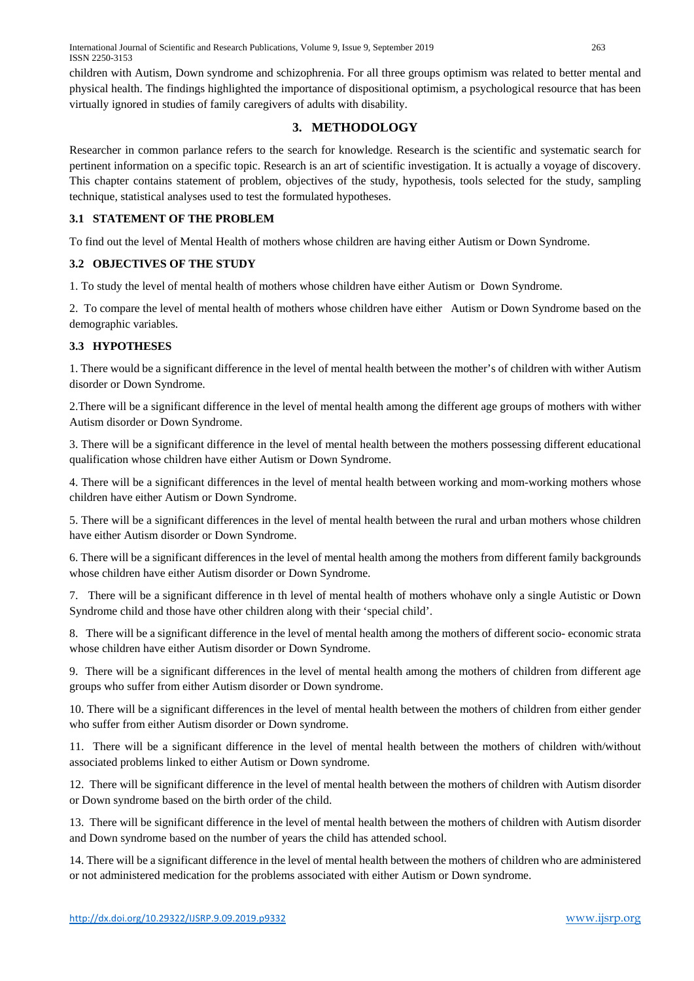children with Autism, Down syndrome and schizophrenia. For all three groups optimism was related to better mental and physical health. The findings highlighted the importance of dispositional optimism, a psychological resource that has been virtually ignored in studies of family caregivers of adults with disability.

## **3. METHODOLOGY**

Researcher in common parlance refers to the search for knowledge. Research is the scientific and systematic search for pertinent information on a specific topic. Research is an art of scientific investigation. It is actually a voyage of discovery. This chapter contains statement of problem, objectives of the study, hypothesis, tools selected for the study, sampling technique, statistical analyses used to test the formulated hypotheses.

## **3.1 STATEMENT OF THE PROBLEM**

To find out the level of Mental Health of mothers whose children are having either Autism or Down Syndrome.

## **3.2 OBJECTIVES OF THE STUDY**

1. To study the level of mental health of mothers whose children have either Autism or Down Syndrome.

2. To compare the level of mental health of mothers whose children have either Autism or Down Syndrome based on the demographic variables.

## **3.3 HYPOTHESES**

1. There would be a significant difference in the level of mental health between the mother's of children with wither Autism disorder or Down Syndrome.

2.There will be a significant difference in the level of mental health among the different age groups of mothers with wither Autism disorder or Down Syndrome.

3. There will be a significant difference in the level of mental health between the mothers possessing different educational qualification whose children have either Autism or Down Syndrome.

4. There will be a significant differences in the level of mental health between working and mom-working mothers whose children have either Autism or Down Syndrome.

5. There will be a significant differences in the level of mental health between the rural and urban mothers whose children have either Autism disorder or Down Syndrome.

6. There will be a significant differences in the level of mental health among the mothers from different family backgrounds whose children have either Autism disorder or Down Syndrome.

7. There will be a significant difference in th level of mental health of mothers whohave only a single Autistic or Down Syndrome child and those have other children along with their 'special child'.

8. There will be a significant difference in the level of mental health among the mothers of different socio- economic strata whose children have either Autism disorder or Down Syndrome.

9. There will be a significant differences in the level of mental health among the mothers of children from different age groups who suffer from either Autism disorder or Down syndrome.

10. There will be a significant differences in the level of mental health between the mothers of children from either gender who suffer from either Autism disorder or Down syndrome.

11. There will be a significant difference in the level of mental health between the mothers of children with/without associated problems linked to either Autism or Down syndrome.

12. There will be significant difference in the level of mental health between the mothers of children with Autism disorder or Down syndrome based on the birth order of the child.

13. There will be significant difference in the level of mental health between the mothers of children with Autism disorder and Down syndrome based on the number of years the child has attended school.

14. There will be a significant difference in the level of mental health between the mothers of children who are administered or not administered medication for the problems associated with either Autism or Down syndrome.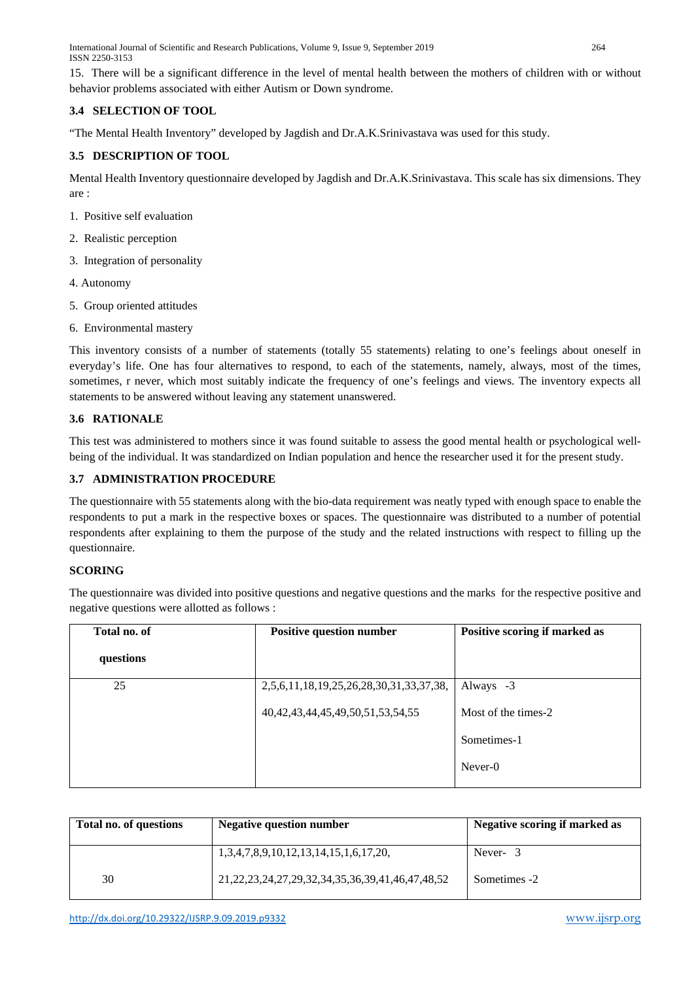International Journal of Scientific and Research Publications, Volume 9, Issue 9, September 2019 264 ISSN 2250-3153

15. There will be a significant difference in the level of mental health between the mothers of children with or without behavior problems associated with either Autism or Down syndrome.

## **3.4 SELECTION OF TOOL**

"The Mental Health Inventory" developed by Jagdish and Dr.A.K.Srinivastava was used for this study.

## **3.5 DESCRIPTION OF TOOL**

Mental Health Inventory questionnaire developed by Jagdish and Dr.A.K.Srinivastava. This scale has six dimensions. They are :

- 1. Positive self evaluation
- 2. Realistic perception
- 3. Integration of personality
- 4. Autonomy
- 5. Group oriented attitudes
- 6. Environmental mastery

This inventory consists of a number of statements (totally 55 statements) relating to one's feelings about oneself in everyday's life. One has four alternatives to respond, to each of the statements, namely, always, most of the times, sometimes, r never, which most suitably indicate the frequency of one's feelings and views. The inventory expects all statements to be answered without leaving any statement unanswered.

## **3.6 RATIONALE**

This test was administered to mothers since it was found suitable to assess the good mental health or psychological wellbeing of the individual. It was standardized on Indian population and hence the researcher used it for the present study.

## **3.7 ADMINISTRATION PROCEDURE**

The questionnaire with 55 statements along with the bio-data requirement was neatly typed with enough space to enable the respondents to put a mark in the respective boxes or spaces. The questionnaire was distributed to a number of potential respondents after explaining to them the purpose of the study and the related instructions with respect to filling up the questionnaire.

#### **SCORING**

The questionnaire was divided into positive questions and negative questions and the marks for the respective positive and negative questions were allotted as follows :

| Total no. of | <b>Positive question number</b>            | Positive scoring if marked as |
|--------------|--------------------------------------------|-------------------------------|
| questions    |                                            |                               |
| 25           | 2,5,6,11,18,19,25,26,28,30,31,33,37,38,    | Always -3                     |
|              | 40, 42, 43, 44, 45, 49, 50, 51, 53, 54, 55 | Most of the times-2           |
|              |                                            | Sometimes-1                   |
|              |                                            | Never-0                       |

| Total no. of questions | <b>Negative question number</b>                                | Negative scoring if marked as |
|------------------------|----------------------------------------------------------------|-------------------------------|
|                        | 1,3,4,7,8,9,10,12,13,14,15,1,6,17,20,                          | Never-3                       |
| 30                     | 21, 22, 23, 24, 27, 29, 32, 34, 35, 36, 39, 41, 46, 47, 48, 52 | Sometimes -2                  |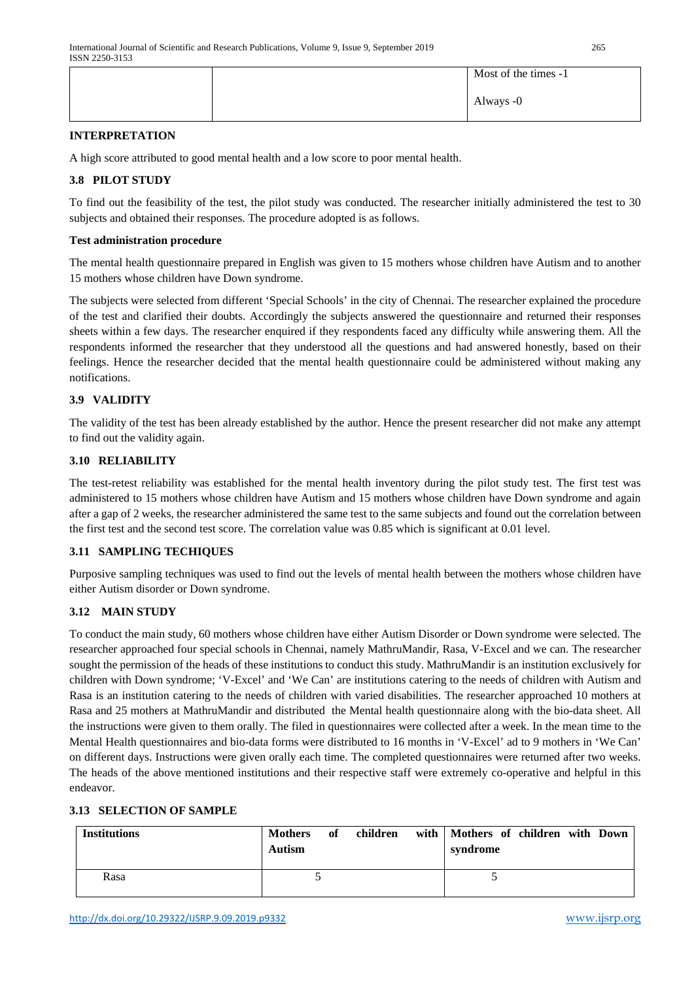|  | Most of the times -1 |
|--|----------------------|
|  | Always -0            |

## **INTERPRETATION**

A high score attributed to good mental health and a low score to poor mental health.

## **3.8 PILOT STUDY**

To find out the feasibility of the test, the pilot study was conducted. The researcher initially administered the test to 30 subjects and obtained their responses. The procedure adopted is as follows.

#### **Test administration procedure**

The mental health questionnaire prepared in English was given to 15 mothers whose children have Autism and to another 15 mothers whose children have Down syndrome.

The subjects were selected from different 'Special Schools' in the city of Chennai. The researcher explained the procedure of the test and clarified their doubts. Accordingly the subjects answered the questionnaire and returned their responses sheets within a few days. The researcher enquired if they respondents faced any difficulty while answering them. All the respondents informed the researcher that they understood all the questions and had answered honestly, based on their feelings. Hence the researcher decided that the mental health questionnaire could be administered without making any notifications.

## **3.9 VALIDITY**

The validity of the test has been already established by the author. Hence the present researcher did not make any attempt to find out the validity again.

#### **3.10 RELIABILITY**

The test-retest reliability was established for the mental health inventory during the pilot study test. The first test was administered to 15 mothers whose children have Autism and 15 mothers whose children have Down syndrome and again after a gap of 2 weeks, the researcher administered the same test to the same subjects and found out the correlation between the first test and the second test score. The correlation value was 0.85 which is significant at 0.01 level.

#### **3.11 SAMPLING TECHIQUES**

Purposive sampling techniques was used to find out the levels of mental health between the mothers whose children have either Autism disorder or Down syndrome.

## **3.12 MAIN STUDY**

To conduct the main study, 60 mothers whose children have either Autism Disorder or Down syndrome were selected. The researcher approached four special schools in Chennai, namely MathruMandir, Rasa, V-Excel and we can. The researcher sought the permission of the heads of these institutions to conduct this study. MathruMandir is an institution exclusively for children with Down syndrome; 'V-Excel' and 'We Can' are institutions catering to the needs of children with Autism and Rasa is an institution catering to the needs of children with varied disabilities. The researcher approached 10 mothers at Rasa and 25 mothers at MathruMandir and distributed the Mental health questionnaire along with the bio-data sheet. All the instructions were given to them orally. The filed in questionnaires were collected after a week. In the mean time to the Mental Health questionnaires and bio-data forms were distributed to 16 months in 'V-Excel' ad to 9 mothers in 'We Can' on different days. Instructions were given orally each time. The completed questionnaires were returned after two weeks. The heads of the above mentioned institutions and their respective staff were extremely co-operative and helpful in this endeavor.

## **3.13 SELECTION OF SAMPLE**

| <b>Institutions</b> | <b>Mothers</b><br><b>Autism</b> | of | children | with   Mothers of children with Down<br>syndrome |  |  |
|---------------------|---------------------------------|----|----------|--------------------------------------------------|--|--|
| Rasa                |                                 |    |          |                                                  |  |  |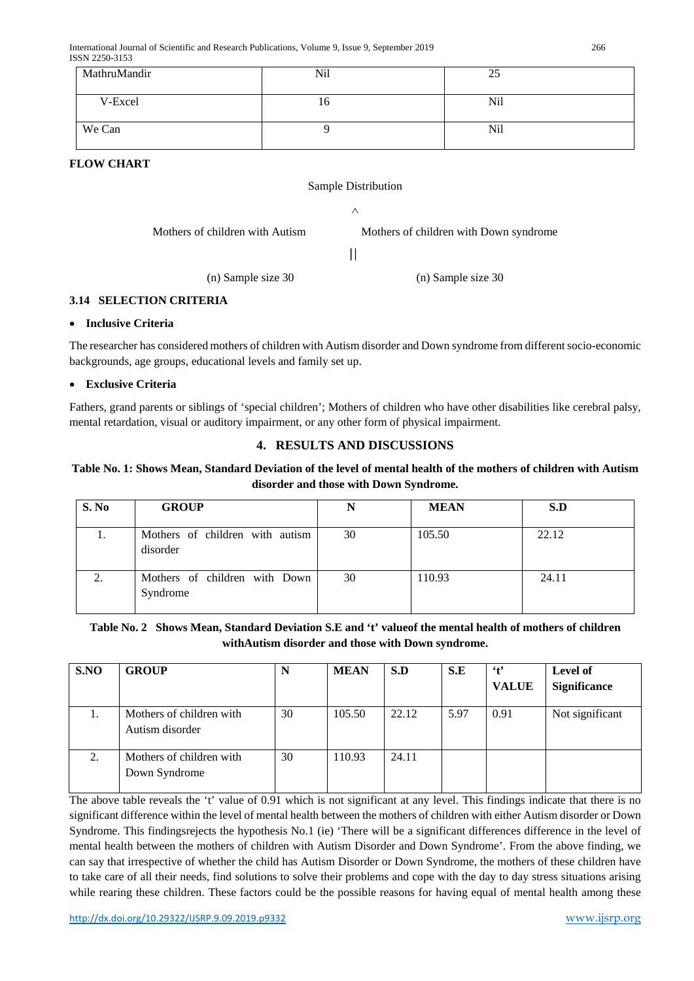| MathruMandir | Nil | 25  |
|--------------|-----|-----|
| V-Excel      | 10  | Nil |
| We Can       |     | Nil |

**FLOW CHART**

## Sample Distribution

∧

Mothers of children with Autism Mothers of children with Down syndrome

 $\mathbf{H}$ 

(n) Sample size 30 (n) Sample size 30

## **3.14 SELECTION CRITERIA**

## • **Inclusive Criteria**

The researcher has considered mothers of children with Autism disorder and Down syndrome from different socio-economic backgrounds, age groups, educational levels and family set up.

## • **Exclusive Criteria**

Fathers, grand parents or siblings of 'special children'; Mothers of children who have other disabilities like cerebral palsy, mental retardation, visual or auditory impairment, or any other form of physical impairment.

## **4. RESULTS AND DISCUSSIONS**

## **Table No. 1: Shows Mean, Standard Deviation of the level of mental health of the mothers of children with Autism disorder and those with Down Syndrome.**

| S. No    | <b>GROUP</b>                                | N  | <b>MEAN</b> | S.D   |
|----------|---------------------------------------------|----|-------------|-------|
| 1.       | Mothers of children with autism<br>disorder | 30 | 105.50      | 22.12 |
| $\gamma$ | Mothers of children with Down<br>Syndrome   | 30 | 110.93      | 24.11 |

## **Table No. 2 Shows Mean, Standard Deviation S.E and 't' valueof the mental health of mothers of children withAutism disorder and those with Down syndrome.**

| S.NO | <b>GROUP</b>                                | N  | <b>MEAN</b> | S.D   | S.E  | $\cdot$ t'<br><b>VALUE</b> | Level of<br><b>Significance</b> |
|------|---------------------------------------------|----|-------------|-------|------|----------------------------|---------------------------------|
| 1.   | Mothers of children with<br>Autism disorder | 30 | 105.50      | 22.12 | 5.97 | 0.91                       | Not significant                 |
| 2.   | Mothers of children with<br>Down Syndrome   | 30 | 110.93      | 24.11 |      |                            |                                 |

The above table reveals the 't' value of 0.91 which is not significant at any level. This findings indicate that there is no significant difference within the level of mental health between the mothers of children with either Autism disorder or Down Syndrome. This findingsrejects the hypothesis No.1 (ie) 'There will be a significant differences difference in the level of mental health between the mothers of children with Autism Disorder and Down Syndrome'. From the above finding, we can say that irrespective of whether the child has Autism Disorder or Down Syndrome, the mothers of these children have to take care of all their needs, find solutions to solve their problems and cope with the day to day stress situations arising while rearing these children. These factors could be the possible reasons for having equal of mental health among these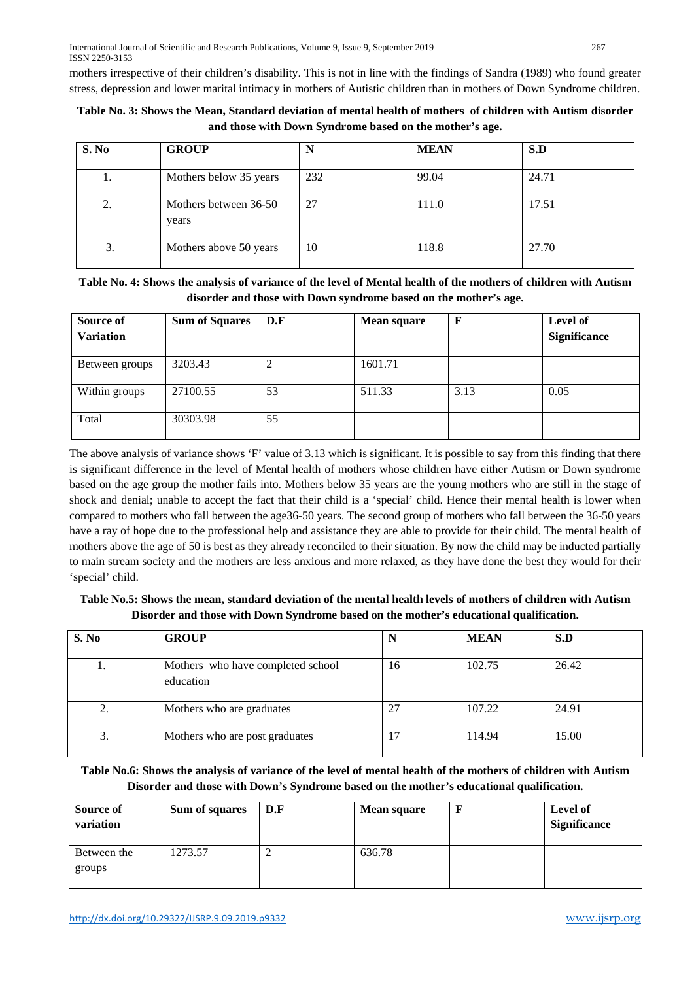mothers irrespective of their children's disability. This is not in line with the findings of Sandra (1989) who found greater stress, depression and lower marital intimacy in mothers of Autistic children than in mothers of Down Syndrome children.

| Table No. 3: Shows the Mean, Standard deviation of mental health of mothers of children with Autism disorder |                                                         |  |  |
|--------------------------------------------------------------------------------------------------------------|---------------------------------------------------------|--|--|
|                                                                                                              | and those with Down Syndrome based on the mother's age. |  |  |

| S. No | <b>GROUP</b>                   |     | <b>MEAN</b> | S.D   |
|-------|--------------------------------|-----|-------------|-------|
| 1.    | Mothers below 35 years         | 232 | 99.04       | 24.71 |
| 2.    | Mothers between 36-50<br>years | 27  | 111.0       | 17.51 |
| 3.    | Mothers above 50 years         | 10  | 118.8       | 27.70 |

**Table No. 4: Shows the analysis of variance of the level of Mental health of the mothers of children with Autism disorder and those with Down syndrome based on the mother's age.**

| Source of<br><b>Variation</b> | <b>Sum of Squares</b> | D.F | <b>Mean square</b> |      | Level of<br><b>Significance</b> |
|-------------------------------|-----------------------|-----|--------------------|------|---------------------------------|
| Between groups                | 3203.43               | ∍   | 1601.71            |      |                                 |
| Within groups                 | 27100.55              | 53  | 511.33             | 3.13 | 0.05                            |
| Total                         | 30303.98              | 55  |                    |      |                                 |

The above analysis of variance shows 'F' value of 3.13 which is significant. It is possible to say from this finding that there is significant difference in the level of Mental health of mothers whose children have either Autism or Down syndrome based on the age group the mother fails into. Mothers below 35 years are the young mothers who are still in the stage of shock and denial; unable to accept the fact that their child is a 'special' child. Hence their mental health is lower when compared to mothers who fall between the age36-50 years. The second group of mothers who fall between the 36-50 years have a ray of hope due to the professional help and assistance they are able to provide for their child. The mental health of mothers above the age of 50 is best as they already reconciled to their situation. By now the child may be inducted partially to main stream society and the mothers are less anxious and more relaxed, as they have done the best they would for their 'special' child.

**Table No.5: Shows the mean, standard deviation of the mental health levels of mothers of children with Autism Disorder and those with Down Syndrome based on the mother's educational qualification.**

| S. No | <b>GROUP</b>                                   | N  | <b>MEAN</b> | S.D   |
|-------|------------------------------------------------|----|-------------|-------|
| ı.    | Mothers who have completed school<br>education | 16 | 102.75      | 26.42 |
| 2.    | Mothers who are graduates                      | 27 | 107.22      | 24.91 |
| 3.    | Mothers who are post graduates                 | 17 | 114.94      | 15.00 |

**Table No.6: Shows the analysis of variance of the level of mental health of the mothers of children with Autism Disorder and those with Down's Syndrome based on the mother's educational qualification.**

| <b>Source of</b><br>variation | Sum of squares | D.F | <b>Mean square</b> | Level of<br><b>Significance</b> |
|-------------------------------|----------------|-----|--------------------|---------------------------------|
| Between the<br>groups         | 1273.57        |     | 636.78             |                                 |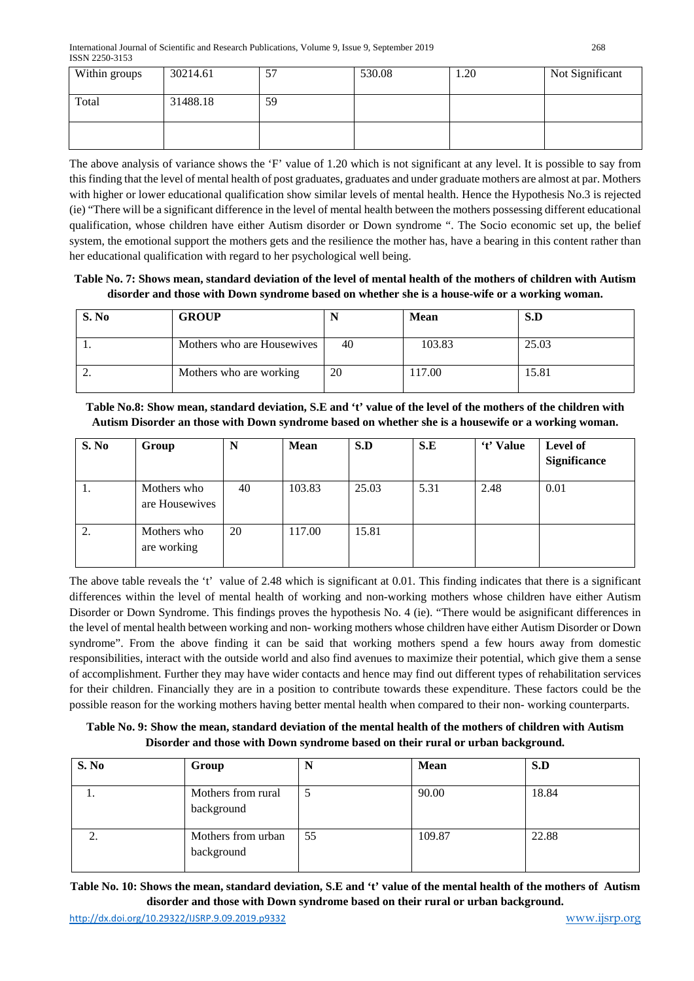| Within groups | 30214.61 | 57 | 530.08 | 1.20 | Not Significant |
|---------------|----------|----|--------|------|-----------------|
| Total         | 31488.18 | 59 |        |      |                 |
|               |          |    |        |      |                 |

The above analysis of variance shows the 'F' value of 1.20 which is not significant at any level. It is possible to say from this finding that the level of mental health of post graduates, graduates and under graduate mothers are almost at par. Mothers with higher or lower educational qualification show similar levels of mental health. Hence the Hypothesis No.3 is rejected (ie) "There will be a significant difference in the level of mental health between the mothers possessing different educational qualification, whose children have either Autism disorder or Down syndrome ". The Socio economic set up, the belief system, the emotional support the mothers gets and the resilience the mother has, have a bearing in this content rather than her educational qualification with regard to her psychological well being.

**Table No. 7: Shows mean, standard deviation of the level of mental health of the mothers of children with Autism disorder and those with Down syndrome based on whether she is a house-wife or a working woman.**

| S. No    | <b>GROUP</b>               | N  | <b>Mean</b> | S.D   |
|----------|----------------------------|----|-------------|-------|
| . .      | Mothers who are Housewives | 40 | 103.83      | 25.03 |
| <u>.</u> | Mothers who are working    | 20 | 117.00      | 15.81 |

**Table No.8: Show mean, standard deviation, S.E and 't' value of the level of the mothers of the children with Autism Disorder an those with Down syndrome based on whether she is a housewife or a working woman.**

| S. No | Group                         | N  | <b>Mean</b> | S.D   | S.E  | 't' Value | Level of<br><b>Significance</b> |
|-------|-------------------------------|----|-------------|-------|------|-----------|---------------------------------|
| 1.    | Mothers who<br>are Housewives | 40 | 103.83      | 25.03 | 5.31 | 2.48      | 0.01                            |
| 2.    | Mothers who<br>are working    | 20 | 117.00      | 15.81 |      |           |                                 |

The above table reveals the 't' value of 2.48 which is significant at 0.01. This finding indicates that there is a significant differences within the level of mental health of working and non-working mothers whose children have either Autism Disorder or Down Syndrome. This findings proves the hypothesis No. 4 (ie). "There would be asignificant differences in the level of mental health between working and non- working mothers whose children have either Autism Disorder or Down syndrome". From the above finding it can be said that working mothers spend a few hours away from domestic responsibilities, interact with the outside world and also find avenues to maximize their potential, which give them a sense of accomplishment. Further they may have wider contacts and hence may find out different types of rehabilitation services for their children. Financially they are in a position to contribute towards these expenditure. These factors could be the possible reason for the working mothers having better mental health when compared to their non- working counterparts.

**Table No. 9: Show the mean, standard deviation of the mental health of the mothers of children with Autism Disorder and those with Down syndrome based on their rural or urban background.**

| S. No | Group                            | N  | <b>Mean</b> | S.D   |
|-------|----------------------------------|----|-------------|-------|
| ı.    | Mothers from rural<br>background |    | 90.00       | 18.84 |
|       | Mothers from urban<br>background | 55 | 109.87      | 22.88 |

**Table No. 10: Shows the mean, standard deviation, S.E and 't' value of the mental health of the mothers of Autism disorder and those with Down syndrome based on their rural or urban background.**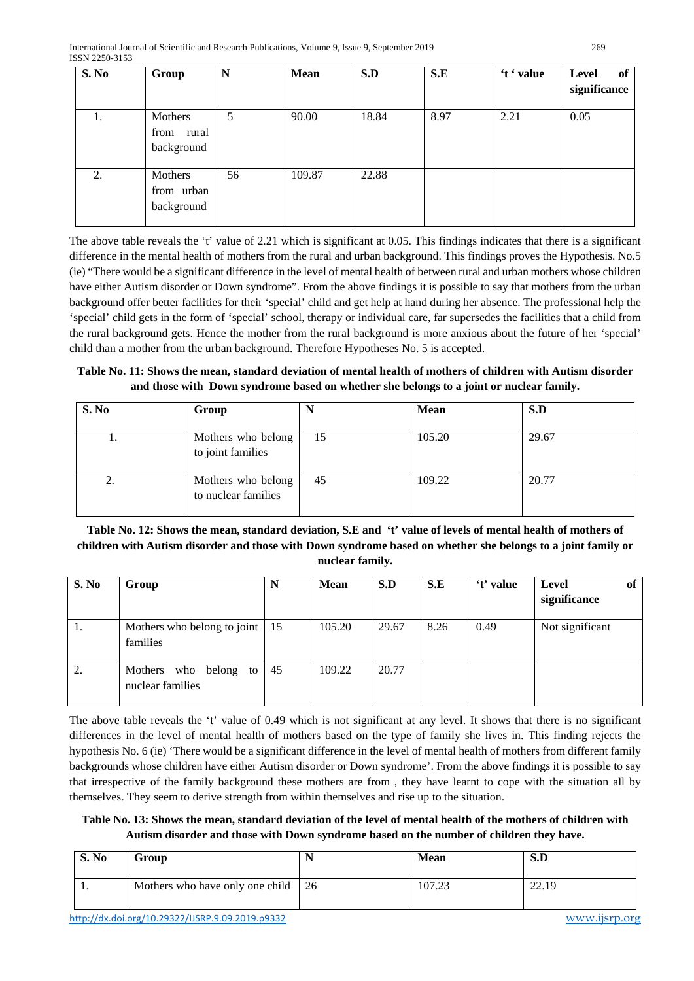| S. No | Group                                  | N  | <b>Mean</b> | S.D   | S.E  | 't ' value | Level<br>of<br>significance |
|-------|----------------------------------------|----|-------------|-------|------|------------|-----------------------------|
| ı.    | Mothers<br>from<br>rural<br>background | 5  | 90.00       | 18.84 | 8.97 | 2.21       | 0.05                        |
| 2.    | Mothers<br>from urban<br>background    | 56 | 109.87      | 22.88 |      |            |                             |

The above table reveals the 't' value of 2.21 which is significant at 0.05. This findings indicates that there is a significant difference in the mental health of mothers from the rural and urban background. This findings proves the Hypothesis. No.5 (ie) "There would be a significant difference in the level of mental health of between rural and urban mothers whose children have either Autism disorder or Down syndrome". From the above findings it is possible to say that mothers from the urban background offer better facilities for their 'special' child and get help at hand during her absence. The professional help the 'special' child gets in the form of 'special' school, therapy or individual care, far supersedes the facilities that a child from the rural background gets. Hence the mother from the rural background is more anxious about the future of her 'special' child than a mother from the urban background. Therefore Hypotheses No. 5 is accepted.

**Table No. 11: Shows the mean, standard deviation of mental health of mothers of children with Autism disorder and those with Down syndrome based on whether she belongs to a joint or nuclear family.**

| S. No | Group                                     |    | <b>Mean</b> | S.D   |
|-------|-------------------------------------------|----|-------------|-------|
| ı.    | Mothers who belong<br>to joint families   | 15 | 105.20      | 29.67 |
| ۷.    | Mothers who belong<br>to nuclear families | 45 | 109.22      | 20.77 |

**Table No. 12: Shows the mean, standard deviation, S.E and 't' value of levels of mental health of mothers of children with Autism disorder and those with Down syndrome based on whether she belongs to a joint family or nuclear family.**

| S. No | Group                                              | N  | <b>Mean</b> | S.D   | S.E  | 't' value | Level<br>significance | of |
|-------|----------------------------------------------------|----|-------------|-------|------|-----------|-----------------------|----|
| ι.    | Mothers who belong to joint $\vert$ 15<br>families |    | 105.20      | 29.67 | 8.26 | 0.49      | Not significant       |    |
| 2.    | Mothers who<br>belong to<br>nuclear families       | 45 | 109.22      | 20.77 |      |           |                       |    |

The above table reveals the 't' value of 0.49 which is not significant at any level. It shows that there is no significant differences in the level of mental health of mothers based on the type of family she lives in. This finding rejects the hypothesis No. 6 (ie) 'There would be a significant difference in the level of mental health of mothers from different family backgrounds whose children have either Autism disorder or Down syndrome'. From the above findings it is possible to say that irrespective of the family background these mothers are from , they have learnt to cope with the situation all by themselves. They seem to derive strength from within themselves and rise up to the situation.

**Table No. 13: Shows the mean, standard deviation of the level of mental health of the mothers of children with Autism disorder and those with Down syndrome based on the number of children they have.**

| S. No | Group                              | <b>Mean</b> | S.D            |
|-------|------------------------------------|-------------|----------------|
|       | Mothers who have only one child 26 | 107.23      | 22.19<br>44.12 |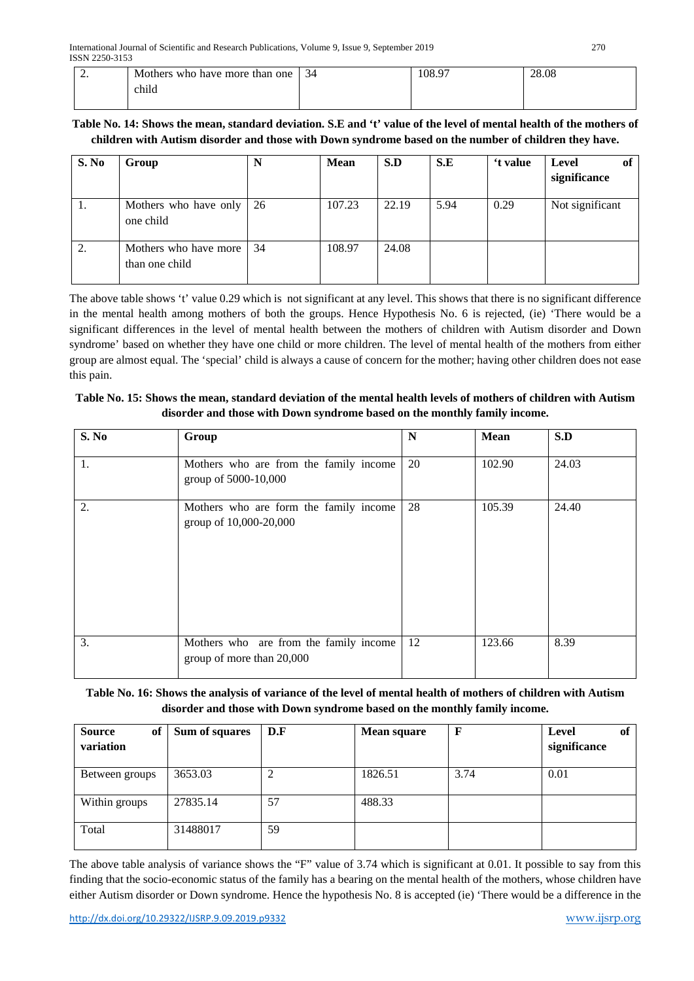| <u>.</u> | Mothers who have more than one <sup>1</sup> | 34 | 108.97 | 28.08 |
|----------|---------------------------------------------|----|--------|-------|
|          | child                                       |    |        |       |

## **Table No. 14: Shows the mean, standard deviation. S.E and 't' value of the level of mental health of the mothers of children with Autism disorder and those with Down syndrome based on the number of children they have.**

| S. No | Group                                   | N   | <b>Mean</b> | S.D   | S.E  | 't value | Level<br>of<br>significance |
|-------|-----------------------------------------|-----|-------------|-------|------|----------|-----------------------------|
| ι.    | Mothers who have only<br>one child      | -26 | 107.23      | 22.19 | 5.94 | 0.29     | Not significant             |
| 2.    | Mothers who have more<br>than one child | 34  | 108.97      | 24.08 |      |          |                             |

The above table shows 't' value 0.29 which is not significant at any level. This shows that there is no significant difference in the mental health among mothers of both the groups. Hence Hypothesis No. 6 is rejected, (ie) 'There would be a significant differences in the level of mental health between the mothers of children with Autism disorder and Down syndrome' based on whether they have one child or more children. The level of mental health of the mothers from either group are almost equal. The 'special' child is always a cause of concern for the mother; having other children does not ease this pain.

## **Table No. 15: Shows the mean, standard deviation of the mental health levels of mothers of children with Autism disorder and those with Down syndrome based on the monthly family income.**

| S. No | Group                                                               | $\mathbf N$ | <b>Mean</b> | S.D   |
|-------|---------------------------------------------------------------------|-------------|-------------|-------|
| 1.    | Mothers who are from the family income<br>group of 5000-10,000      | 20          | 102.90      | 24.03 |
| 2.    | Mothers who are form the family income<br>group of 10,000-20,000    | 28          | 105.39      | 24.40 |
| 3.    | Mothers who are from the family income<br>group of more than 20,000 | 12          | 123.66      | 8.39  |

## **Table No. 16: Shows the analysis of variance of the level of mental health of mothers of children with Autism disorder and those with Down syndrome based on the monthly family income.**

| <b>Source</b><br>of<br>variation | Sum of squares | D.F            | <b>Mean square</b> | F    | of<br>Level<br>significance |
|----------------------------------|----------------|----------------|--------------------|------|-----------------------------|
| Between groups                   | 3653.03        | $\overline{2}$ | 1826.51            | 3.74 | 0.01                        |
| Within groups                    | 27835.14       | 57             | 488.33             |      |                             |
| Total                            | 31488017       | 59             |                    |      |                             |

The above table analysis of variance shows the "F" value of 3.74 which is significant at 0.01. It possible to say from this finding that the socio-economic status of the family has a bearing on the mental health of the mothers, whose children have either Autism disorder or Down syndrome. Hence the hypothesis No. 8 is accepted (ie) 'There would be a difference in the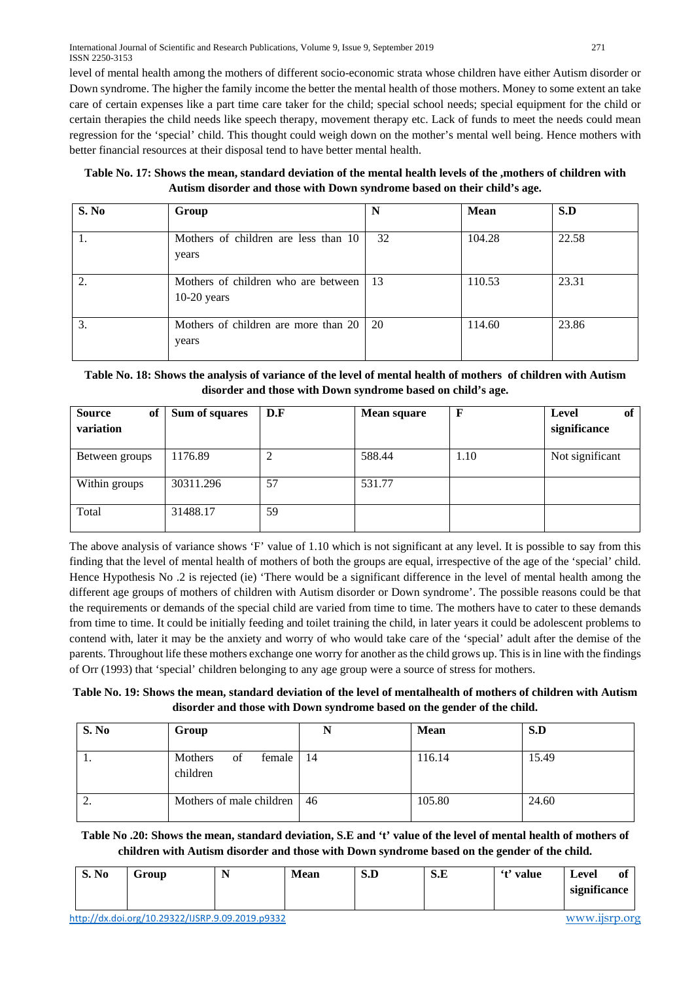| Table No. 17: Shows the mean, standard deviation of the mental health levels of the , mothers of children with |
|----------------------------------------------------------------------------------------------------------------|
| Autism disorder and those with Down syndrome based on their child's age.                                       |

| S. No | Group                                                | N   | <b>Mean</b> | S.D   |
|-------|------------------------------------------------------|-----|-------------|-------|
| 1.    | Mothers of children are less than 10<br>years        | 32  | 104.28      | 22.58 |
| 2.    | Mothers of children who are between<br>$10-20$ years | 13  | 110.53      | 23.31 |
| 3.    | Mothers of children are more than 20  <br>years      | -20 | 114.60      | 23.86 |

## **Table No. 18: Shows the analysis of variance of the level of mental health of mothers of children with Autism disorder and those with Down syndrome based on child's age.**

| <b>Source</b><br>of<br>variation | Sum of squares | D.F    | <b>Mean square</b> |      | Level<br>of<br>significance |
|----------------------------------|----------------|--------|--------------------|------|-----------------------------|
| Between groups                   | 1176.89        | ∍<br>∠ | 588.44             | 1.10 | Not significant             |
| Within groups                    | 30311.296      | 57     | 531.77             |      |                             |
| Total                            | 31488.17       | 59     |                    |      |                             |

The above analysis of variance shows 'F' value of 1.10 which is not significant at any level. It is possible to say from this finding that the level of mental health of mothers of both the groups are equal, irrespective of the age of the 'special' child. Hence Hypothesis No .2 is rejected (ie) 'There would be a significant difference in the level of mental health among the different age groups of mothers of children with Autism disorder or Down syndrome'. The possible reasons could be that the requirements or demands of the special child are varied from time to time. The mothers have to cater to these demands from time to time. It could be initially feeding and toilet training the child, in later years it could be adolescent problems to contend with, later it may be the anxiety and worry of who would take care of the 'special' adult after the demise of the parents. Throughout life these mothers exchange one worry for another as the child grows up. This is in line with the findings of Orr (1993) that 'special' children belonging to any age group were a source of stress for mothers.

**Table No. 19: Shows the mean, standard deviation of the level of mentalhealth of mothers of children with Autism disorder and those with Down syndrome based on the gender of the child.**

| S. No    | Group                                 | N  | <b>Mean</b> | S.D   |
|----------|---------------------------------------|----|-------------|-------|
| . .      | Mothers<br>female  <br>of<br>children | 14 | 116.14      | 15.49 |
| <u>.</u> | Mothers of male children   46         |    | 105.80      | 24.60 |

**Table No .20: Shows the mean, standard deviation, S.E and 't' value of the level of mental health of mothers of children with Autism disorder and those with Down syndrome based on the gender of the child.**

| S. No | Group                                            | <b>Mean</b> | S.D | S.E | 't' value | Level<br>-01<br>significance |
|-------|--------------------------------------------------|-------------|-----|-----|-----------|------------------------------|
|       | http://dx.doi.org/10.29322/IJSRP.9.09.2019.p9332 |             |     |     |           | WWW.iisrp.org                |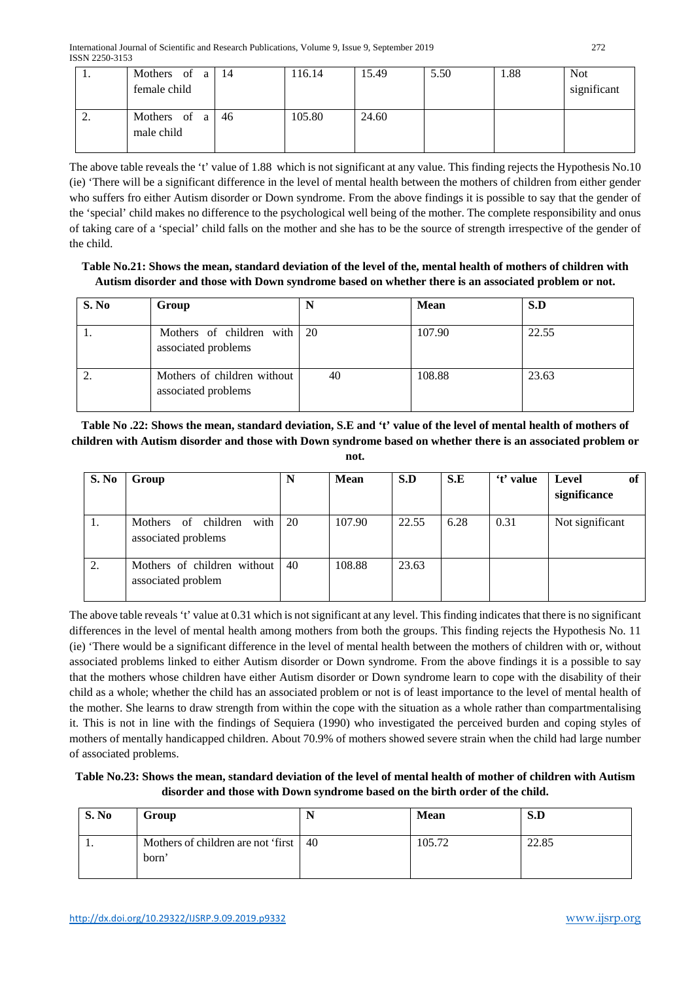| .,       | Mothers of a<br>female child | 14 | 116.14 | 15.49 | 5.50 | .88 | <b>Not</b><br>significant |
|----------|------------------------------|----|--------|-------|------|-----|---------------------------|
| <u>.</u> | Mothers of a<br>male child   | 46 | 105.80 | 24.60 |      |     |                           |

The above table reveals the 't' value of 1.88 which is not significant at any value. This finding rejects the Hypothesis No.10 (ie) 'There will be a significant difference in the level of mental health between the mothers of children from either gender who suffers fro either Autism disorder or Down syndrome. From the above findings it is possible to say that the gender of the 'special' child makes no difference to the psychological well being of the mother. The complete responsibility and onus of taking care of a 'special' child falls on the mother and she has to be the source of strength irrespective of the gender of the child.

## **Table No.21: Shows the mean, standard deviation of the level of the, mental health of mothers of children with Autism disorder and those with Down syndrome based on whether there is an associated problem or not.**

| S. No | Group                                              | N  | <b>Mean</b> | S.D   |
|-------|----------------------------------------------------|----|-------------|-------|
|       | Mothers of children with 20<br>associated problems |    | 107.90      | 22.55 |
|       | Mothers of children without<br>associated problems | 40 | 108.88      | 23.63 |

**Table No .22: Shows the mean, standard deviation, S.E and 't' value of the level of mental health of mothers of children with Autism disorder and those with Down syndrome based on whether there is an associated problem or not.**

| S. No | Group                                              | N  | Mean   | S.D   | S.E  | 't' value | Level<br>0f<br>significance |
|-------|----------------------------------------------------|----|--------|-------|------|-----------|-----------------------------|
| 1.    | with<br>Mothers of children<br>associated problems | 20 | 107.90 | 22.55 | 6.28 | 0.31      | Not significant             |
| 2.    | Mothers of children without<br>associated problem  | 40 | 108.88 | 23.63 |      |           |                             |

The above table reveals 't' value at 0.31 which is not significant at any level. This finding indicates that there is no significant differences in the level of mental health among mothers from both the groups. This finding rejects the Hypothesis No. 11 (ie) 'There would be a significant difference in the level of mental health between the mothers of children with or, without associated problems linked to either Autism disorder or Down syndrome. From the above findings it is a possible to say that the mothers whose children have either Autism disorder or Down syndrome learn to cope with the disability of their child as a whole; whether the child has an associated problem or not is of least importance to the level of mental health of the mother. She learns to draw strength from within the cope with the situation as a whole rather than compartmentalising it. This is not in line with the findings of Sequiera (1990) who investigated the perceived burden and coping styles of mothers of mentally handicapped children. About 70.9% of mothers showed severe strain when the child had large number of associated problems.

## **Table No.23: Shows the mean, standard deviation of the level of mental health of mother of children with Autism disorder and those with Down syndrome based on the birth order of the child.**

| S. No | Group                                            | <b>Mean</b> | S.D   |
|-------|--------------------------------------------------|-------------|-------|
| . .   | Mothers of children are not 'first   40<br>born' | 105.72      | 22.85 |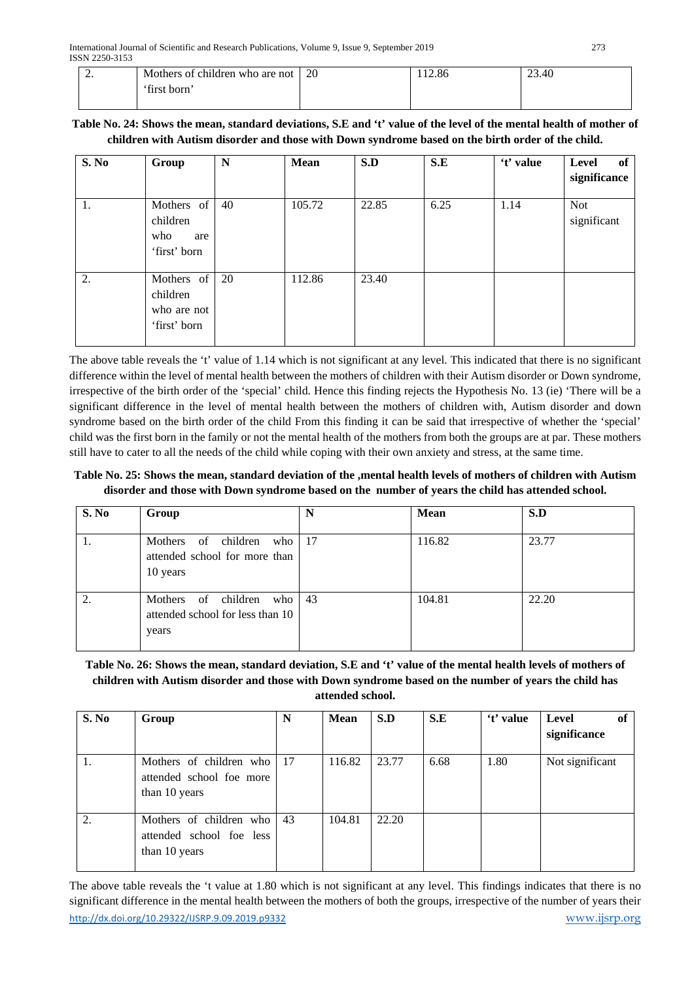| <u>.</u> | Mothers of children who are not | 20 | 12.86 | 23.40 |
|----------|---------------------------------|----|-------|-------|
|          | 'first born'                    |    |       |       |

## **Table No. 24: Shows the mean, standard deviations, S.E and 't' value of the level of the mental health of mother of children with Autism disorder and those with Down syndrome based on the birth order of the child.**

| S. No | Group                                                 | N  | Mean   | S.D   | S.E  | 't' value | Level<br>of<br>significance |
|-------|-------------------------------------------------------|----|--------|-------|------|-----------|-----------------------------|
| 1.    | Mothers of<br>children<br>who<br>are<br>'first' born  | 40 | 105.72 | 22.85 | 6.25 | 1.14      | <b>Not</b><br>significant   |
| 2.    | Mothers of<br>children<br>who are not<br>'first' born | 20 | 112.86 | 23.40 |      |           |                             |

The above table reveals the 't' value of 1.14 which is not significant at any level. This indicated that there is no significant difference within the level of mental health between the mothers of children with their Autism disorder or Down syndrome, irrespective of the birth order of the 'special' child. Hence this finding rejects the Hypothesis No. 13 (ie) 'There will be a significant difference in the level of mental health between the mothers of children with, Autism disorder and down syndrome based on the birth order of the child From this finding it can be said that irrespective of whether the 'special' child was the first born in the family or not the mental health of the mothers from both the groups are at par. These mothers still have to cater to all the needs of the child while coping with their own anxiety and stress, at the same time.

**Table No. 25: Shows the mean, standard deviation of the ,mental health levels of mothers of children with Autism disorder and those with Down syndrome based on the number of years the child has attended school.**

| S. No | Group                                                                   | N   | Mean   | S.D   |
|-------|-------------------------------------------------------------------------|-----|--------|-------|
|       | Mothers of children<br>who<br>attended school for more than<br>10 years | -17 | 116.82 | 23.77 |
|       | Mothers of children<br>who<br>attended school for less than 10<br>years | 43  | 104.81 | 22.20 |

## **Table No. 26: Shows the mean, standard deviation, S.E and 't' value of the mental health levels of mothers of children with Autism disorder and those with Down syndrome based on the number of years the child has attended school.**

| S. No | Group                                                                   | N  | <b>Mean</b> | S.D   | S.E  | 't' value | Level<br>of<br>significance |
|-------|-------------------------------------------------------------------------|----|-------------|-------|------|-----------|-----------------------------|
|       | Mothers of children who 17<br>attended school foe more<br>than 10 years |    | 116.82      | 23.77 | 6.68 | 1.80      | Not significant             |
| 2.    | Mothers of children who<br>attended school foe less<br>than 10 years    | 43 | 104.81      | 22.20 |      |           |                             |

<http://dx.doi.org/10.29322/IJSRP.9.09.2019.p9332> [www.ijsrp.org](http://ijsrp.org/) The above table reveals the 't value at 1.80 which is not significant at any level. This findings indicates that there is no significant difference in the mental health between the mothers of both the groups, irrespective of the number of years their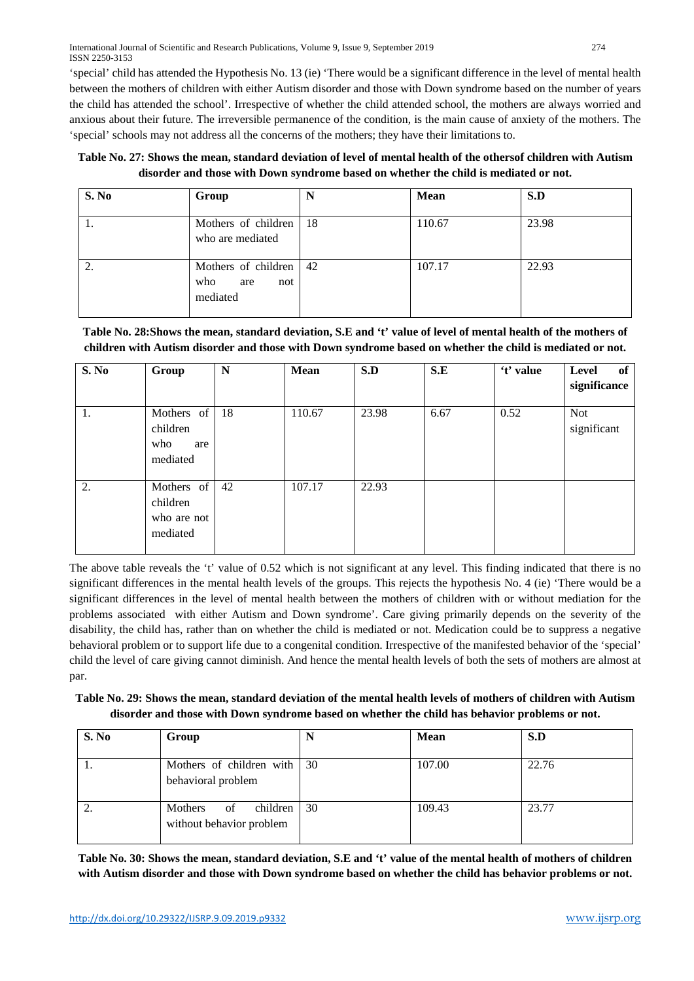**Table No. 27: Shows the mean, standard deviation of level of mental health of the othersof children with Autism disorder and those with Down syndrome based on whether the child is mediated or not.**

| S. No | Group                                                | N  | <b>Mean</b> | S.D   |
|-------|------------------------------------------------------|----|-------------|-------|
|       | Mothers of children<br>who are mediated              | 18 | 110.67      | 23.98 |
|       | Mothers of children<br>who<br>not<br>are<br>mediated | 42 | 107.17      | 22.93 |

## **Table No. 28:Shows the mean, standard deviation, S.E and 't' value of level of mental health of the mothers of children with Autism disorder and those with Down syndrome based on whether the child is mediated or not.**

| S. No | Group                                             | $\mathbb N$ | Mean   | S.D   | S.E  | 't' value | of<br>Level<br>significance |
|-------|---------------------------------------------------|-------------|--------|-------|------|-----------|-----------------------------|
| 1.    | Mothers of<br>children<br>who<br>are<br>mediated  | 18          | 110.67 | 23.98 | 6.67 | 0.52      | <b>Not</b><br>significant   |
| 2.    | Mothers of<br>children<br>who are not<br>mediated | 42          | 107.17 | 22.93 |      |           |                             |

The above table reveals the 't' value of 0.52 which is not significant at any level. This finding indicated that there is no significant differences in the mental health levels of the groups. This rejects the hypothesis No. 4 (ie) 'There would be a significant differences in the level of mental health between the mothers of children with or without mediation for the problems associated with either Autism and Down syndrome'. Care giving primarily depends on the severity of the disability, the child has, rather than on whether the child is mediated or not. Medication could be to suppress a negative behavioral problem or to support life due to a congenital condition. Irrespective of the manifested behavior of the 'special' child the level of care giving cannot diminish. And hence the mental health levels of both the sets of mothers are almost at par.

## **Table No. 29: Shows the mean, standard deviation of the mental health levels of mothers of children with Autism disorder and those with Down syndrome based on whether the child has behavior problems or not.**

| S. No    | Group                                                 |    | <b>Mean</b> | S.D   |
|----------|-------------------------------------------------------|----|-------------|-------|
| .,       | Mothers of children with 30<br>behavioral problem     |    | 107.00      | 22.76 |
| <u>.</u> | Mothers<br>children<br>of<br>without behavior problem | 30 | 109.43      | 23.77 |

**Table No. 30: Shows the mean, standard deviation, S.E and 't' value of the mental health of mothers of children with Autism disorder and those with Down syndrome based on whether the child has behavior problems or not.**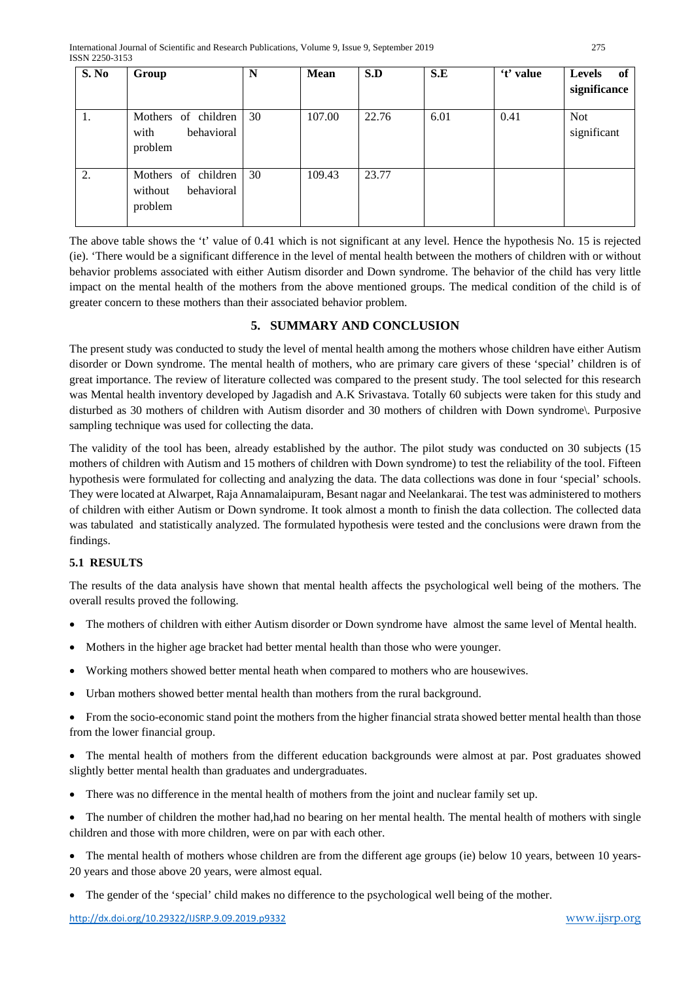| S. No | Group                                                   | N  | <b>Mean</b> | S.D   | S.E  | 't' value | <b>Levels</b><br>of<br>significance |
|-------|---------------------------------------------------------|----|-------------|-------|------|-----------|-------------------------------------|
| 1.    | Mothers of children<br>behavioral<br>with<br>problem    | 30 | 107.00      | 22.76 | 6.01 | 0.41      | <b>Not</b><br>significant           |
| 2.    | Mothers of children<br>behavioral<br>without<br>problem | 30 | 109.43      | 23.77 |      |           |                                     |

The above table shows the 't' value of 0.41 which is not significant at any level. Hence the hypothesis No. 15 is rejected (ie). 'There would be a significant difference in the level of mental health between the mothers of children with or without behavior problems associated with either Autism disorder and Down syndrome. The behavior of the child has very little impact on the mental health of the mothers from the above mentioned groups. The medical condition of the child is of greater concern to these mothers than their associated behavior problem.

## **5. SUMMARY AND CONCLUSION**

The present study was conducted to study the level of mental health among the mothers whose children have either Autism disorder or Down syndrome. The mental health of mothers, who are primary care givers of these 'special' children is of great importance. The review of literature collected was compared to the present study. The tool selected for this research was Mental health inventory developed by Jagadish and A.K Srivastava. Totally 60 subjects were taken for this study and disturbed as 30 mothers of children with Autism disorder and 30 mothers of children with Down syndrome\. Purposive sampling technique was used for collecting the data.

The validity of the tool has been, already established by the author. The pilot study was conducted on 30 subjects (15 mothers of children with Autism and 15 mothers of children with Down syndrome) to test the reliability of the tool. Fifteen hypothesis were formulated for collecting and analyzing the data. The data collections was done in four 'special' schools. They were located at Alwarpet, Raja Annamalaipuram, Besant nagar and Neelankarai. The test was administered to mothers of children with either Autism or Down syndrome. It took almost a month to finish the data collection. The collected data was tabulated and statistically analyzed. The formulated hypothesis were tested and the conclusions were drawn from the findings.

## **5.1 RESULTS**

The results of the data analysis have shown that mental health affects the psychological well being of the mothers. The overall results proved the following.

- The mothers of children with either Autism disorder or Down syndrome have almost the same level of Mental health.
- Mothers in the higher age bracket had better mental health than those who were younger.
- Working mothers showed better mental heath when compared to mothers who are housewives.
- Urban mothers showed better mental health than mothers from the rural background.

• From the socio-economic stand point the mothers from the higher financial strata showed better mental health than those from the lower financial group.

• The mental health of mothers from the different education backgrounds were almost at par. Post graduates showed slightly better mental health than graduates and undergraduates.

- There was no difference in the mental health of mothers from the joint and nuclear family set up.
- The number of children the mother had,had no bearing on her mental health. The mental health of mothers with single children and those with more children, were on par with each other.

• The mental health of mothers whose children are from the different age groups (ie) below 10 years, between 10 years-20 years and those above 20 years, were almost equal.

• The gender of the 'special' child makes no difference to the psychological well being of the mother.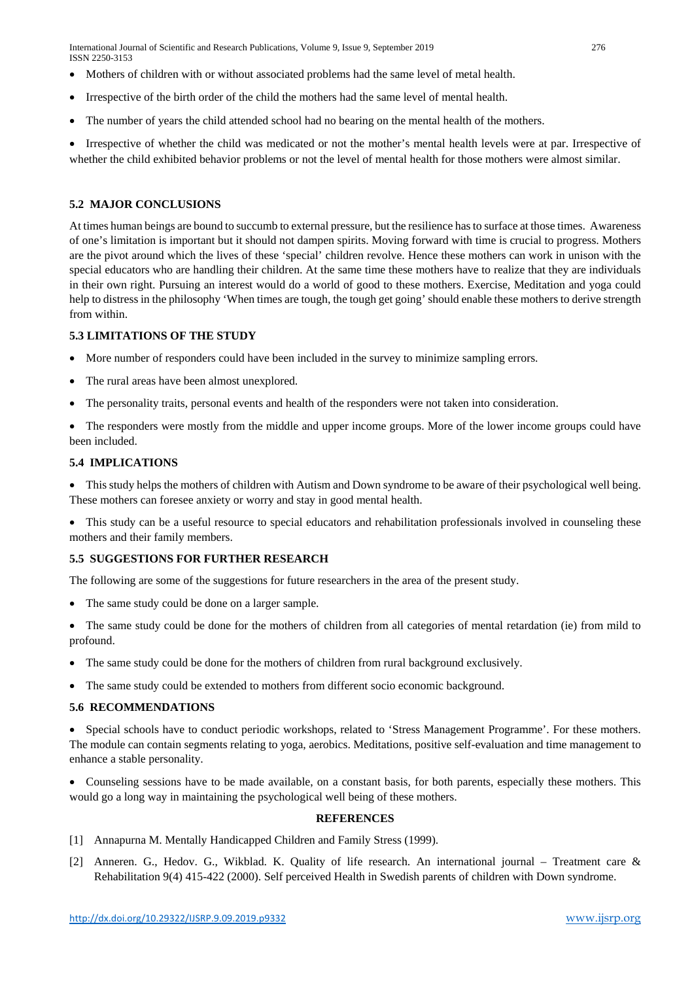International Journal of Scientific and Research Publications, Volume 9, Issue 9, September 2019 276 ISSN 2250-3153

- Mothers of children with or without associated problems had the same level of metal health.
- Irrespective of the birth order of the child the mothers had the same level of mental health.
- The number of years the child attended school had no bearing on the mental health of the mothers.

• Irrespective of whether the child was medicated or not the mother's mental health levels were at par. Irrespective of whether the child exhibited behavior problems or not the level of mental health for those mothers were almost similar.

## **5.2 MAJOR CONCLUSIONS**

At times human beings are bound to succumb to external pressure, but the resilience has to surface at those times. Awareness of one's limitation is important but it should not dampen spirits. Moving forward with time is crucial to progress. Mothers are the pivot around which the lives of these 'special' children revolve. Hence these mothers can work in unison with the special educators who are handling their children. At the same time these mothers have to realize that they are individuals in their own right. Pursuing an interest would do a world of good to these mothers. Exercise, Meditation and yoga could help to distress in the philosophy 'When times are tough, the tough get going' should enable these mothers to derive strength from within.

#### **5.3 LIMITATIONS OF THE STUDY**

- More number of responders could have been included in the survey to minimize sampling errors.
- The rural areas have been almost unexplored.
- The personality traits, personal events and health of the responders were not taken into consideration.
- The responders were mostly from the middle and upper income groups. More of the lower income groups could have been included.

#### **5.4 IMPLICATIONS**

• This study helps the mothers of children with Autism and Down syndrome to be aware of their psychological well being. These mothers can foresee anxiety or worry and stay in good mental health.

• This study can be a useful resource to special educators and rehabilitation professionals involved in counseling these mothers and their family members.

## **5.5 SUGGESTIONS FOR FURTHER RESEARCH**

The following are some of the suggestions for future researchers in the area of the present study.

- The same study could be done on a larger sample.
- The same study could be done for the mothers of children from all categories of mental retardation (ie) from mild to profound.
- The same study could be done for the mothers of children from rural background exclusively.
- The same study could be extended to mothers from different socio economic background.

#### **5.6 RECOMMENDATIONS**

• Special schools have to conduct periodic workshops, related to 'Stress Management Programme'. For these mothers. The module can contain segments relating to yoga, aerobics. Meditations, positive self-evaluation and time management to enhance a stable personality.

• Counseling sessions have to be made available, on a constant basis, for both parents, especially these mothers. This would go a long way in maintaining the psychological well being of these mothers.

#### **REFERENCES**

- [1] Annapurna M. Mentally Handicapped Children and Family Stress (1999).
- [2] Anneren. G., Hedov. G., Wikblad. K. Quality of life research. An international journal Treatment care & Rehabilitation 9(4) 415-422 (2000). Self perceived Health in Swedish parents of children with Down syndrome.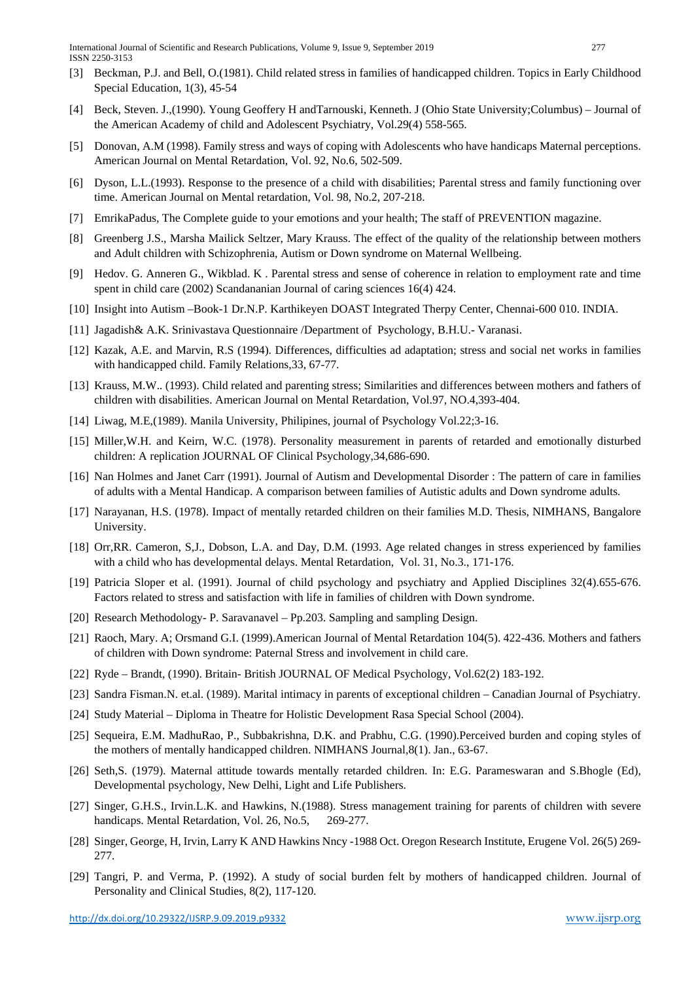- [3] Beckman, P.J. and Bell, O.(1981). Child related stress in families of handicapped children. Topics in Early Childhood Special Education, 1(3), 45-54
- [4] Beck, Steven. J.,(1990). Young Geoffery H andTarnouski, Kenneth. J (Ohio State University;Columbus) Journal of the American Academy of child and Adolescent Psychiatry, Vol.29(4) 558-565.
- [5] Donovan, A.M (1998). Family stress and ways of coping with Adolescents who have handicaps Maternal perceptions. American Journal on Mental Retardation, Vol. 92, No.6, 502-509.
- [6] Dyson, L.L.(1993). Response to the presence of a child with disabilities; Parental stress and family functioning over time. American Journal on Mental retardation, Vol. 98, No.2, 207-218.
- [7] EmrikaPadus, The Complete guide to your emotions and your health; The staff of PREVENTION magazine.
- [8] Greenberg J.S., Marsha Mailick Seltzer, Mary Krauss. The effect of the quality of the relationship between mothers and Adult children with Schizophrenia, Autism or Down syndrome on Maternal Wellbeing.
- [9] Hedov. G. Anneren G., Wikblad. K . Parental stress and sense of coherence in relation to employment rate and time spent in child care (2002) Scandananian Journal of caring sciences 16(4) 424.
- [10] Insight into Autism –Book-1 Dr.N.P. Karthikeyen DOAST Integrated Therpy Center, Chennai-600 010. INDIA.
- [11] Jagadish& A.K. Srinivastava Questionnaire /Department of Psychology, B.H.U.- Varanasi.
- [12] Kazak, A.E. and Marvin, R.S (1994). Differences, difficulties ad adaptation; stress and social net works in families with handicapped child. Family Relations,33, 67-77.
- [13] Krauss, M.W.. (1993). Child related and parenting stress; Similarities and differences between mothers and fathers of children with disabilities. American Journal on Mental Retardation, Vol.97, NO.4,393-404.
- [14] Liwag, M.E,(1989). Manila University, Philipines, journal of Psychology Vol.22;3-16.
- [15] Miller, W.H. and Keirn, W.C. (1978). Personality measurement in parents of retarded and emotionally disturbed children: A replication JOURNAL OF Clinical Psychology,34,686-690.
- [16] Nan Holmes and Janet Carr (1991). Journal of Autism and Developmental Disorder : The pattern of care in families of adults with a Mental Handicap. A comparison between families of Autistic adults and Down syndrome adults.
- [17] Narayanan, H.S. (1978). Impact of mentally retarded children on their families M.D. Thesis, NIMHANS, Bangalore University.
- [18] Orr,RR. Cameron, S,J., Dobson, L.A. and Day, D.M. (1993. Age related changes in stress experienced by families with a child who has developmental delays. Mental Retardation, Vol. 31, No.3., 171-176.
- [19] Patricia Sloper et al. (1991). Journal of child psychology and psychiatry and Applied Disciplines 32(4).655-676. Factors related to stress and satisfaction with life in families of children with Down syndrome.
- [20] Research Methodology- P. Saravanavel Pp.203. Sampling and sampling Design.
- [21] Raoch, Mary. A; Orsmand G.I. (1999).American Journal of Mental Retardation 104(5). 422-436. Mothers and fathers of children with Down syndrome: Paternal Stress and involvement in child care.
- [22] Ryde Brandt, (1990). Britain- British JOURNAL OF Medical Psychology, Vol.62(2) 183-192.
- [23] Sandra Fisman.N. et.al. (1989). Marital intimacy in parents of exceptional children Canadian Journal of Psychiatry.
- [24] Study Material Diploma in Theatre for Holistic Development Rasa Special School (2004).
- [25] Sequeira, E.M. MadhuRao, P., Subbakrishna, D.K. and Prabhu, C.G. (1990).Perceived burden and coping styles of the mothers of mentally handicapped children. NIMHANS Journal,8(1). Jan., 63-67.
- [26] Seth,S. (1979). Maternal attitude towards mentally retarded children. In: E.G. Parameswaran and S.Bhogle (Ed), Developmental psychology, New Delhi, Light and Life Publishers.
- [27] Singer, G.H.S., Irvin.L.K. and Hawkins, N.(1988). Stress management training for parents of children with severe handicaps. Mental Retardation, Vol. 26, No.5, 269-277.
- [28] Singer, George, H, Irvin, Larry K AND Hawkins Nncy -1988 Oct. Oregon Research Institute, Erugene Vol. 26(5) 269- 277.
- [29] Tangri, P. and Verma, P. (1992). A study of social burden felt by mothers of handicapped children. Journal of Personality and Clinical Studies, 8(2), 117-120.